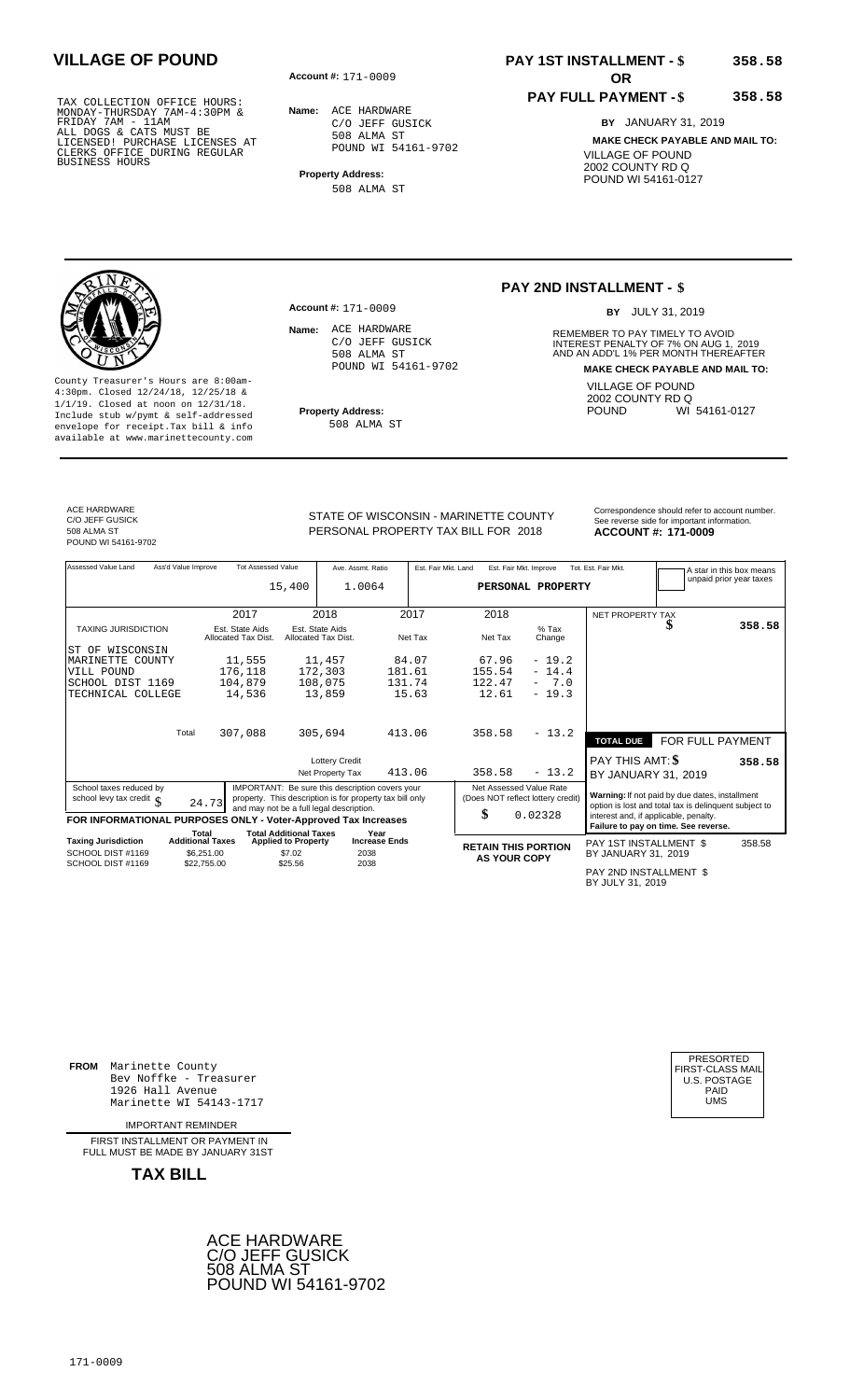**Account #: OR** 171-0009

**Name:** ACE HARDWARE C/O JEFF GUSICK 508 ALMA ST POUND WI 54161-9702

**Property Address:** 508 ALMA ST

## **PAY 1ST INSTALLMENT - \$ VILLAGE OF POUND 358.58**

### **PAY FULL PAYMENT - \$**

**358.58**

**BY** JANUARY 31, 2019 **MAKE CHECK PAYABLE AND MAIL TO:** VILLAGE OF POUND 2002 COUNTY RD Q POUND WI 54161-0127

County Treasurer's Hours are 8:00am-4:30pm. Closed 12/24/18, 12/25/18 & 1/1/19. Closed at noon on 12/31/18. **Property Address:** Include stub w/pymt & self-addressed envelope for receipt.Tax bill & info available at www.marinettecounty.com

**Account #:** 171-0009

Name: ACE HARDWARE C/O JEFF GUSICK 508 ALMA ST POUND WI 54161-9702

508 ALMA ST

### **PAY 2ND INSTALLMENT - \$**

BY JULY 31, 2019

**Name:** REMEMBER TO PAY TIMELY TO AVOID INTEREST PENALTY OF 7% ON AUG 1, 2019<br>AND AN ADD'L 1% PER MONTH THEREAFTER **MAKE CHECK PAYABLE AND MAIL TO:** VILLAGE OF POUND 2002 COUNTY RD Q<br>POUND WI WI 54161-0127

ACE HARDWARE C/O JEFF GUSICK 508 ALMA ST POUND WI 54161-9702

STATE OF WISCONSIN - MARINETTE COUNTY<br>See reverse side for important information PERSONAL PROPERTY TAX BILL FOR 2018

**ACCOUNT #: 171-0009** 

| Assessed Value Land                                            | Ass'd Value Improve              | <b>Tot Assessed Value</b>              | 15,400                                                      | Ave. Assmt. Ratio<br>1.0064                                                                                                                             |                              | Est. Fair Mkt. Land | Est. Fair Mkt. Improve                                             | PERSONAL PROPERTY | Tot. Est. Fair Mkt.                                                                                     | A star in this box means<br>unpaid prior year taxes |
|----------------------------------------------------------------|----------------------------------|----------------------------------------|-------------------------------------------------------------|---------------------------------------------------------------------------------------------------------------------------------------------------------|------------------------------|---------------------|--------------------------------------------------------------------|-------------------|---------------------------------------------------------------------------------------------------------|-----------------------------------------------------|
|                                                                |                                  | 2017                                   |                                                             | 2018                                                                                                                                                    |                              | 2017                | 2018                                                               |                   | NET PROPERTY TAX                                                                                        |                                                     |
| <b>TAXING JURISDICTION</b>                                     |                                  | Est. State Aids<br>Allocated Tax Dist. |                                                             | Est. State Aids<br>Allocated Tax Dist.                                                                                                                  |                              | Net Tax             | Net Tax                                                            | $%$ Tax<br>Change |                                                                                                         | 358.58                                              |
| WISCONSIN<br>ST OF                                             |                                  |                                        |                                                             |                                                                                                                                                         |                              |                     |                                                                    |                   |                                                                                                         |                                                     |
| MARINETTE COUNTY                                               |                                  | 11,555                                 |                                                             | 11,457                                                                                                                                                  |                              | 84.07               | 67.96                                                              | $-19.2$           |                                                                                                         |                                                     |
| VILL POUND                                                     |                                  | 176,118                                |                                                             | 172,303                                                                                                                                                 | 181.61                       |                     | 155.54                                                             | $-14.4$           |                                                                                                         |                                                     |
| SCHOOL DIST 1169                                               |                                  | 104,879                                |                                                             | 108,075                                                                                                                                                 | 131.74                       |                     | 122.47                                                             | $-7.0$            |                                                                                                         |                                                     |
| TECHNICAL COLLEGE                                              |                                  | 14,536                                 |                                                             | 13,859                                                                                                                                                  |                              | 15.63               | 12.61                                                              | $-19.3$           |                                                                                                         |                                                     |
|                                                                | Total                            | 307,088                                |                                                             | 305,694                                                                                                                                                 | 413.06                       |                     | 358.58                                                             | $-13.2$           | <b>TOTAL DUE</b>                                                                                        | FOR FULL PAYMENT                                    |
|                                                                |                                  |                                        |                                                             | <b>Lottery Credit</b>                                                                                                                                   |                              |                     |                                                                    |                   | <b>PAY THIS AMT: \$</b>                                                                                 | 358.58                                              |
|                                                                |                                  |                                        |                                                             | Net Property Tax                                                                                                                                        | 413.06                       |                     | 358.58                                                             | $-13.2$           | BY JANUARY 31, 2019                                                                                     |                                                     |
| School taxes reduced by<br>school levy tax credit c            | 24.73                            |                                        |                                                             | IMPORTANT: Be sure this description covers your<br>property. This description is for property tax bill only<br>and may not be a full legal description. |                              |                     | Net Assessed Value Rate<br>(Does NOT reflect lottery credit)<br>\$ | 0.02328           | Warning: If not paid by due dates, installment<br>option is lost and total tax is delinquent subject to |                                                     |
| FOR INFORMATIONAL PURPOSES ONLY - Voter-Approved Tax Increases |                                  |                                        |                                                             |                                                                                                                                                         |                              |                     |                                                                    |                   | interest and, if applicable, penalty.<br>Failure to pay on time. See reverse.                           |                                                     |
| <b>Taxing Jurisdiction</b>                                     | Total<br><b>Additional Taxes</b> |                                        | <b>Total Additional Taxes</b><br><b>Applied to Property</b> |                                                                                                                                                         | Year<br><b>Increase Ends</b> |                     | <b>RETAIN THIS PORTION</b>                                         |                   | PAY 1ST INSTALLMENT \$                                                                                  | 358.58                                              |
| SCHOOL DIST #1169<br>SCHOOL DIST #1169                         | \$6.251.00<br>\$22,755.00        |                                        | \$7.02<br>\$25.56                                           | 2038<br>2038                                                                                                                                            |                              |                     | <b>AS YOUR COPY</b>                                                |                   | BY JANUARY 31, 2019                                                                                     |                                                     |
|                                                                |                                  |                                        |                                                             |                                                                                                                                                         |                              |                     |                                                                    |                   |                                                                                                         |                                                     |

PAY 2ND INSTALLMENT \$ BY JULY 31, 2019

**FROM** Marinette County Bev Noffke - Treasurer (U.S. POSTAGE)<br>1926 Hall Avenue (U.S. POSTAGE)<br>Marinette WI 54143-1717 (U.S. POSTAGE) 1926 Hall Avenue PAID Marinette WI 54143-1717 UMS

IMPORTANT REMINDER

FIRST INSTALLMENT OR PAYMENT IN FULL MUST BE MADE BY JANUARY 31ST



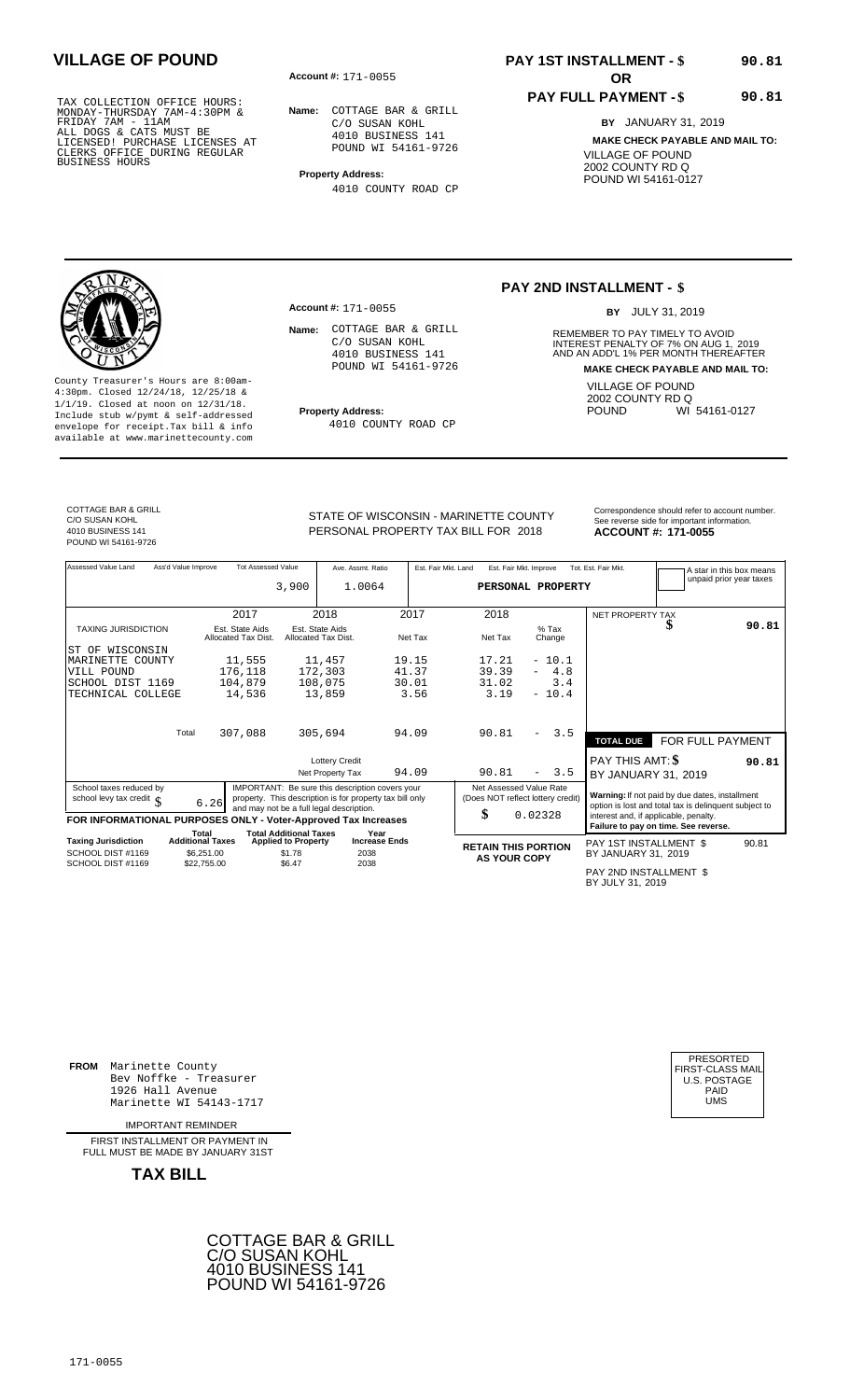**Account #: OR** 171-0055

**Name:** COTTAGE BAR & GRILL C/O SUSAN KOHL 4010 BUSINESS 141 POUND WI 54161-9726

**Property Address:** 4010 COUNTY ROAD CP

# **PAY 1ST INSTALLMENT - \$ VILLAGE OF POUND 90.81**

### **PAY FULL PAYMENT - \$**

**90.81**

**BY** JANUARY 31, 2019 **MAKE CHECK PAYABLE AND MAIL TO:** VILLAGE OF POUND 2002 COUNTY RD Q POUND WI 54161-0127

County Treasurer's Hours are 8:00am-4:30pm. Closed 12/24/18, 12/25/18 & 1/1/19. Closed at noon on 12/31/18. **Property Address:** Include stub w/pymt & self-addressed envelope for receipt.Tax bill & info available at www.marinettecounty.com

**Account #: 171-0055** 

Name: COTTAGE BAR & GRILL C/O SUSAN KOHL 4010 BUSINESS 141 POUND WI 54161-9726

4010 COUNTY ROAD CP

### **PAY 2ND INSTALLMENT - \$**

BY JULY 31, 2019

**Name:** REMEMBER TO PAY TIMELY TO AVOID INTEREST PENALTY OF 7% ON AUG 1, 2019<br>AND AN ADD'L 1% PER MONTH THEREAFTER **MAKE CHECK PAYABLE AND MAIL TO:** VILLAGE OF POUND 2002 COUNTY RD Q<br>POUND WI WI 54161-0127

COTTAGE BAR & GRILL C/O SUSAN KOHL 4010 BUSINESS 141 POUND WI 54161-9726

PERSONAL PROPERTY TAX BILL FOR 2018

STATE OF WISCONSIN - MARINETTE COUNTY<br>See reverse side for important information **ACCOUNT #: 171-0055** 

Assessed Value Land Ass'd Value Improve Tot Assessed Value Ave. Assmt. Ratio Est. Fair Mkt. Land Est. Fair Mkt. Improve Tot. Est. Fair Mkt. A star in this box means<br>unpaid prior year taxes **PERSONAL PROPERTY** NET PROPERTY TAX TAXING JURISDICTION Est. State Aids Est. State Aids % Tax **\$** Allocated Tax Dist. Allocated Tax Dist. Net Tax Net Tax Change Total **TOTAL DUE** FOR FULL PAYMENT Lottery Credit<br>Net Property Tax 94.09 90.81 - 3.5 BY JANUARY 31, Net Property Tax 94.09 90.81 - 3.5 BY JANUARY 31, 2019 School taxes reduced by<br>
school levy tax credit \$ 6.26<br>
MPORTANT: Be sure this description is for property tax bill only<br>
method levy tax credit \$ 6.26<br>
MDORIANTIONAL PURPOSES ONLY - Voter-Approved Tax Increases<br>
FOR INFOR Total Total Additional Taxes Year<br>Taxing Jurisdiction Additional Taxes Applied to Property Increase Ends **Taxing Jurisdiction and Additional Taxes Applied to Property Increase Ends <b>RETAIN THIS PORTION** PAY 1ST INSTALLMENT \$ BY JANUARY 31, **AS YOUR COPY** 2019 3,900 1.0064 2017 2018 2017 2018  **90.81** ST OF WISCONSIN MARINETTE COUNTY VILL POUND SCHOOL DIST 1169 TECHNICAL COLLEGE 11,555 176,118 104,879 14,536 11,457 172,303 108,075 13,859 19.15 41.37 30.01 3.56 17.21 39.39 31.02 3.19 - 10.1  $- 4.8$ <br>3.4  $-10.4$ 307,088 305,694 94.09 90.81 - 3.5 **90.81** 0.02328 90.81 SCHOOL DIST #1169 SCHOOL DIST #1169 \$6,251.00  $$22,755.00$  \$1.78 \$6.47 2038 2038

PAY 2ND INSTALLMENT \$ BY JULY 31, 2019

**FROM** Marinette County Bev Noffke - Treasurer (U.S. POSTAGE)<br>1926 Hall Avenue (U.S. POSTAGE)<br>Marinette WI 54143-1717 (UMS 1926 Hall Avenue Marinette WI 54143-1717

IMPORTANT REMINDER

FIRST INSTALL MENT OR PAYMENT IN FULL MUST BE MADE BY JANUARY 31ST



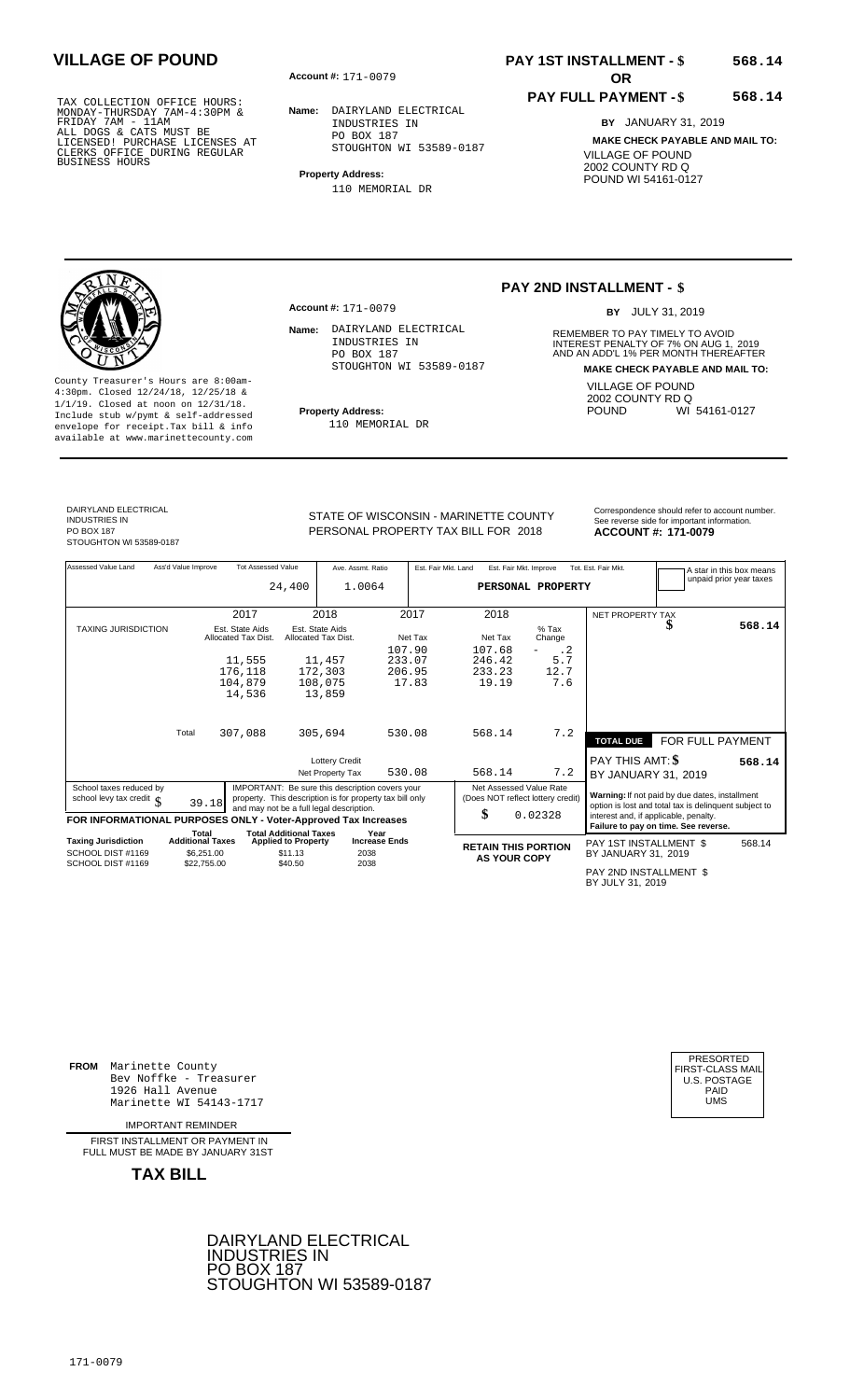**Account #: OR** 171-0079

**Name:** DAIRYLAND ELECTRICAL INDUSTRIES IN PO BOX 187 STOUGHTON WI 53589-0187

**Property Address:** 110 MEMORIAL DR

# **PAY 1ST INSTALLMENT - \$ VILLAGE OF POUND 568.14**

### **PAY FULL PAYMENT - \$ 568.14**

**BY** JANUARY 31, 2019 **MAKE CHECK PAYABLE AND MAIL TO:** VILLAGE OF POUND 2002 COUNTY RD Q POUND WI 54161-0127

County Treasurer's Hours are 8:00am-4:30pm. Closed 12/24/18, 12/25/18 & 1/1/19. Closed at noon on 12/31/18. **Property Address:** Include stub w/pymt & self-addressed envelope for receipt.Tax bill & info available at www.marinettecounty.com

**Account #:** 171-0079

Name: DAIRYLAND ELECTRICAL INDUSTRIES IN PO BOX 187 STOUGHTON WI 53589-0187

110 MEMORIAL DR

### **PAY 2ND INSTALLMENT - \$**

BY JULY 31, 2019

**Name:** REMEMBER TO PAY TIMELY TO AVOID INTEREST PENALTY OF 7% ON AUG 1, 2019<br>AND AN ADD'L 1% PER MONTH THEREAFTER **MAKE CHECK PAYABLE AND MAIL TO:** VILLAGE OF POUND 2002 COUNTY RD Q<br>POUND WI WI 54161-0127

DAIRYLAND ELECTRICAL INDUSTRIES IN PO BOX 187 STOUGHTON WI 53589-0187

PERSONAL PROPERTY TAX BILL FOR 2018

STATE OF WISCONSIN - MARINETTE COUNTY<br>See reverse side for important information

**ACCOUNT #: 171-0079** 

| Assessed Value Land                                                  | Ass'd Value Improve                                           | <b>Tot Assessed Value</b>                        | 24,400                                           | Ave. Assmt. Ratio<br>1.0064                                                                                 |                  | Est. Fair Mkt. Land | Est. Fair Mkt. Improve                                             | PERSONAL PROPERTY                     | Tot. Est. Fair Mkt.                           |                                                                                                         | A star in this box means<br>unpaid prior year taxes |
|----------------------------------------------------------------------|---------------------------------------------------------------|--------------------------------------------------|--------------------------------------------------|-------------------------------------------------------------------------------------------------------------|------------------|---------------------|--------------------------------------------------------------------|---------------------------------------|-----------------------------------------------|---------------------------------------------------------------------------------------------------------|-----------------------------------------------------|
|                                                                      |                                                               | 2017                                             |                                                  | 2018                                                                                                        |                  | 2017                | 2018                                                               |                                       | <b>NET PROPERTY TAX</b>                       |                                                                                                         |                                                     |
| <b>TAXING JURISDICTION</b>                                           |                                                               | Est. State Aids<br>Allocated Tax Dist.<br>11,555 | Est. State Aids<br>Allocated Tax Dist.           | 11,457                                                                                                      | 107.90<br>233.07 | Net Tax             | Net Tax<br>107.68<br>246.42                                        | $%$ Tax<br>Change<br>$\cdot$ 2<br>5.7 |                                               | D                                                                                                       | 568.14                                              |
|                                                                      |                                                               | 176,118<br>104,879<br>14,536                     |                                                  | 172,303<br>108,075<br>13,859                                                                                | 206.95<br>17.83  |                     | 233.23<br>19.19                                                    | 12.7<br>7.6                           |                                               |                                                                                                         |                                                     |
|                                                                      | Total                                                         | 307,088                                          |                                                  | 305,694                                                                                                     | 530.08           |                     | 568.14                                                             | 7.2                                   | <b>TOTAL DUE</b>                              | FOR FULL PAYMENT                                                                                        |                                                     |
|                                                                      |                                                               |                                                  |                                                  | <b>Lottery Credit</b><br>Net Property Tax                                                                   | 530.08           |                     | 568.14                                                             | 7.2                                   | PAY THIS AMT: \$<br>BY JANUARY 31, 2019       |                                                                                                         | 568.14                                              |
| School taxes reduced by<br>school levy tax credit $\int$             | 39.18                                                         | and may not be a full legal description.         |                                                  | IMPORTANT: Be sure this description covers your<br>property. This description is for property tax bill only |                  |                     | Net Assessed Value Rate<br>(Does NOT reflect lottery credit)<br>\$ | 0.02328                               |                                               | Warning: If not paid by due dates, installment<br>option is lost and total tax is delinquent subject to |                                                     |
| FOR INFORMATIONAL PURPOSES ONLY - Voter-Approved Tax Increases       |                                                               |                                                  |                                                  |                                                                                                             |                  |                     |                                                                    |                                       | interest and, if applicable, penalty.         | Failure to pay on time. See reverse.                                                                    |                                                     |
| <b>Taxing Jurisdiction</b><br>SCHOOL DIST #1169<br>SCHOOL DIST #1169 | Total<br><b>Additional Taxes</b><br>\$6,251.00<br>\$22,755.00 | <b>Total Additional Taxes</b>                    | <b>Applied to Property</b><br>\$11.13<br>\$40.50 | Year<br><b>Increase Ends</b><br>2038<br>2038                                                                |                  |                     | <b>RETAIN THIS PORTION</b><br><b>AS YOUR COPY</b>                  |                                       | PAY 1ST INSTALLMENT \$<br>BY JANUARY 31, 2019 |                                                                                                         | 568.14                                              |
|                                                                      |                                                               |                                                  |                                                  |                                                                                                             |                  |                     |                                                                    |                                       | PAY 2ND INSTALLMENT \$<br>BY JULY 31, 2019    |                                                                                                         |                                                     |

**FROM** Marinette County Bev Noffke - Treasurer (U.S. POSTAGE)<br>1926 Hall Avenue (U.S. POSTAGE)<br>Marinette WI 54143-1717 (U.S. POSTAGE) 1926 Hall Avenue PAID Marinette WI 54143-1717 UMS

IMPORTANT REMINDER

FIRST INSTALL MENT OR PAYMENT IN FULL MUST BE MADE BY JANUARY 31ST



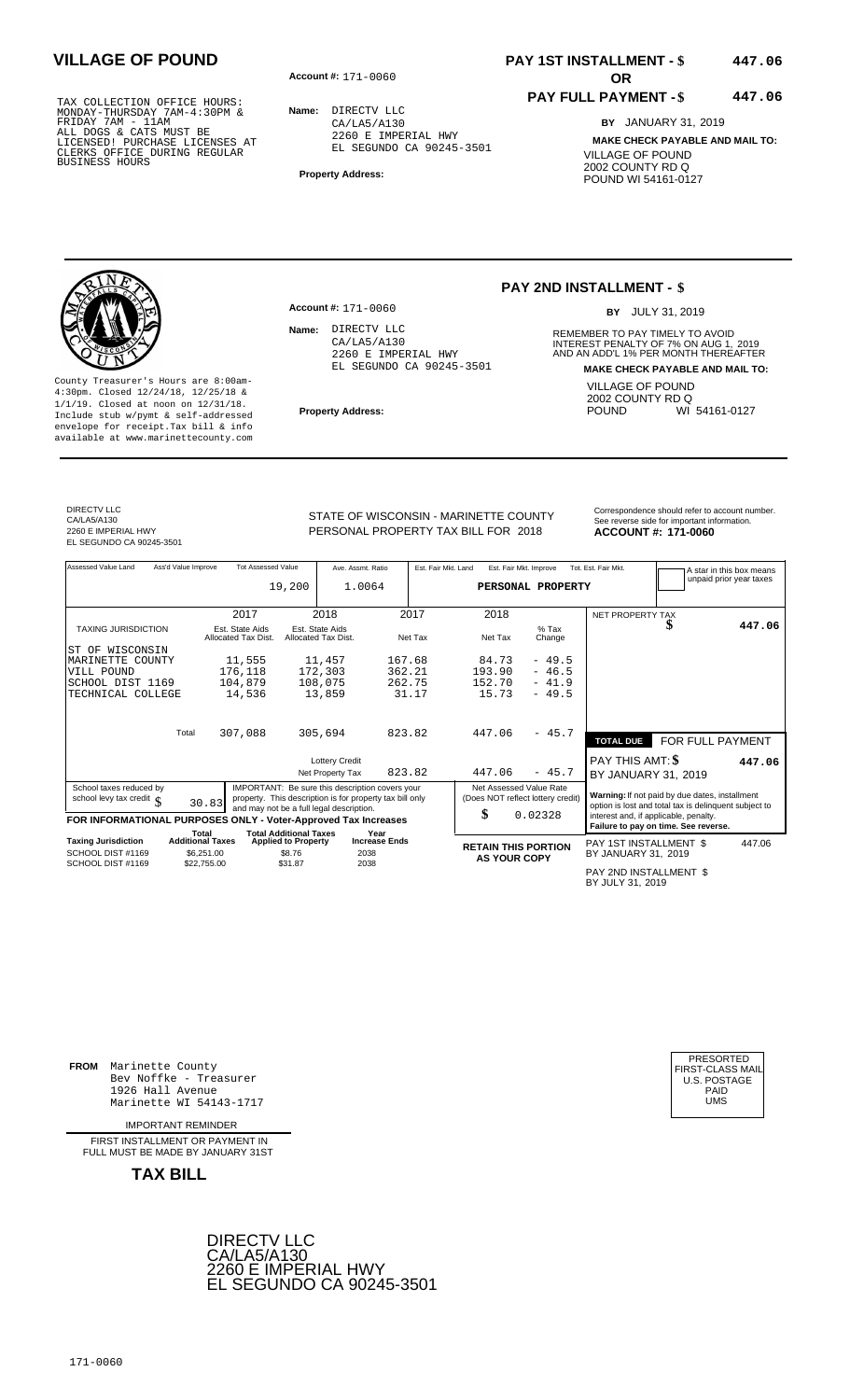**Account #: OR** 171-0060

**Name:** DIRECTV LLC CA/LA5/A130 2260 E IMPERIAL HWY EL SEGUNDO CA 90245-3501

**Property Address:**

## **PAY 1ST INSTALLMENT - \$ VILLAGE OF POUND 447.06**

### **PAY FULL PAYMENT - \$ 447.06**

**BY** JANUARY 31, 2019 **MAKE CHECK PAYABLE AND MAIL TO:** VILLAGE OF POUND 2002 COUNTY RD Q POUND WI 54161-0127

County Treasurer's Hours are 8:00am-4:30pm. Closed 12/24/18, 12/25/18 & 1/1/19. Closed at noon on 12/31/18. **Property Address:** Include stub w/pymt & self-addressed envelope for receipt.Tax bill & info available at www.marinettecounty.com

2260 E IMPERIAL HWY EL SEGUNDO CA 90245-3501

**Account #: 171-0060** 

Name: DIRECTV LLC CA/LA5/A130

### **PAY 2ND INSTALLMENT - \$**

BY JULY 31, 2019

**Name:** REMEMBER TO PAY TIMELY TO AVOID INTEREST PENALTY OF 7% ON AUG 1, 2019<br>AND AN ADD'L 1% PER MONTH THEREAFTER **MAKE CHECK PAYABLE AND MAIL TO:** VILLAGE OF POUND 2002 COUNTY RD Q<br>POUND WI WI 54161-0127

DIRECTV LLC CA/LA5/A130 2260 E IMPERIAL HWY EL SEGUNDO CA 90245-3501

STATE OF WISCONSIN - MARINETTE COUNTY<br>See reverse side for important information PERSONAL PROPERTY TAX BILL FOR 2018

**ACCOUNT #: 171-0060** 

Assessed Value Land Ass'd Value Improve Tot Assessed Value Ave. Assmt. Ratio Est. Fair Mkt. Land Est. Fair Mkt. Improve Tot. Est. Fair Mkt. A star in this box means<br>unpaid prior year taxes **PERSONAL PROPERTY** NET PROPERTY TAX TAXING JURISDICTION Est. State Aids Est. State Aids % Tax **\$** Allocated Tax Dist. Allocated Tax Dist. Net Tax Net Tax Change Total **TOTAL DUE** FOR FULL PAYMENT Lottery Credit<br>Net Property Tax 823.82 447.06 - 45.7 BY JANUARY 31, Net Property Tax 823.82 447.06 - 45.7 BY JANUARY 31, 2019 School taxes reduced by<br>
school levy tax credit \$PORMATIONAL PURPOSES ONLY - Voter-Approved Tax Increases Sed Value Rate<br>
FOR INFORMATIONAL PURPOSES ONLY - Voter-Approved Tax Increases Sed Value Rate<br>
FOR INFORMATIONAL PUR Total Total Additional Taxes Year<br>Taxing Jurisdiction Additional Taxes Applied to Property Increase Ends **Taxing Jurisdiction and Additional Taxes Applied to Property Increase Ends <b>RETAIN THIS PORTION** PAY 1ST INSTALLMENT \$ BY JANUARY 31, **AS YOUR COPY** 2019 19,200 1.0064 2017 2018 2017 2018  **447.06** ST OF WISCONSIN MARINETTE COUNTY VILL POUND SCHOOL DIST 1169 TECHNICAL COLLEGE 11,555 176,118 104,879 14,536 11,457 172,303 108,075 13,859 167.68 362.21 262.75 31.17 84.73 193.90 152.70 15.73 - 49.5 - 46.5  $-45.5$ <br> $-46.5$ <br> $-41.9$  $-49.5$ 307,088 305,694 823.82 447.06 - 45.7 **447.06** 0.02328 447.06 SCHOOL DIST #1169 SCHOOL DIST #1169 \$6,251.00  $$22,755.00$ **\$8.76**  \$31.87 2038 2038

PAY 2ND INSTALLMENT \$ BY JULY 31, 2019

**FROM** Marinette County Bev Noffke - Treasurer (U.S. POSTAGE)<br>1926 Hall Avenue (U.S. POSTAGE)<br>Marinette WI 54143-1717 (UMS 1926 Hall Avenue Marinette WI 54143-1717

IMPORTANT REMINDER

FIRST INSTALL MENT OR PAYMENT IN FULL MUST BE MADE BY JANUARY 31ST



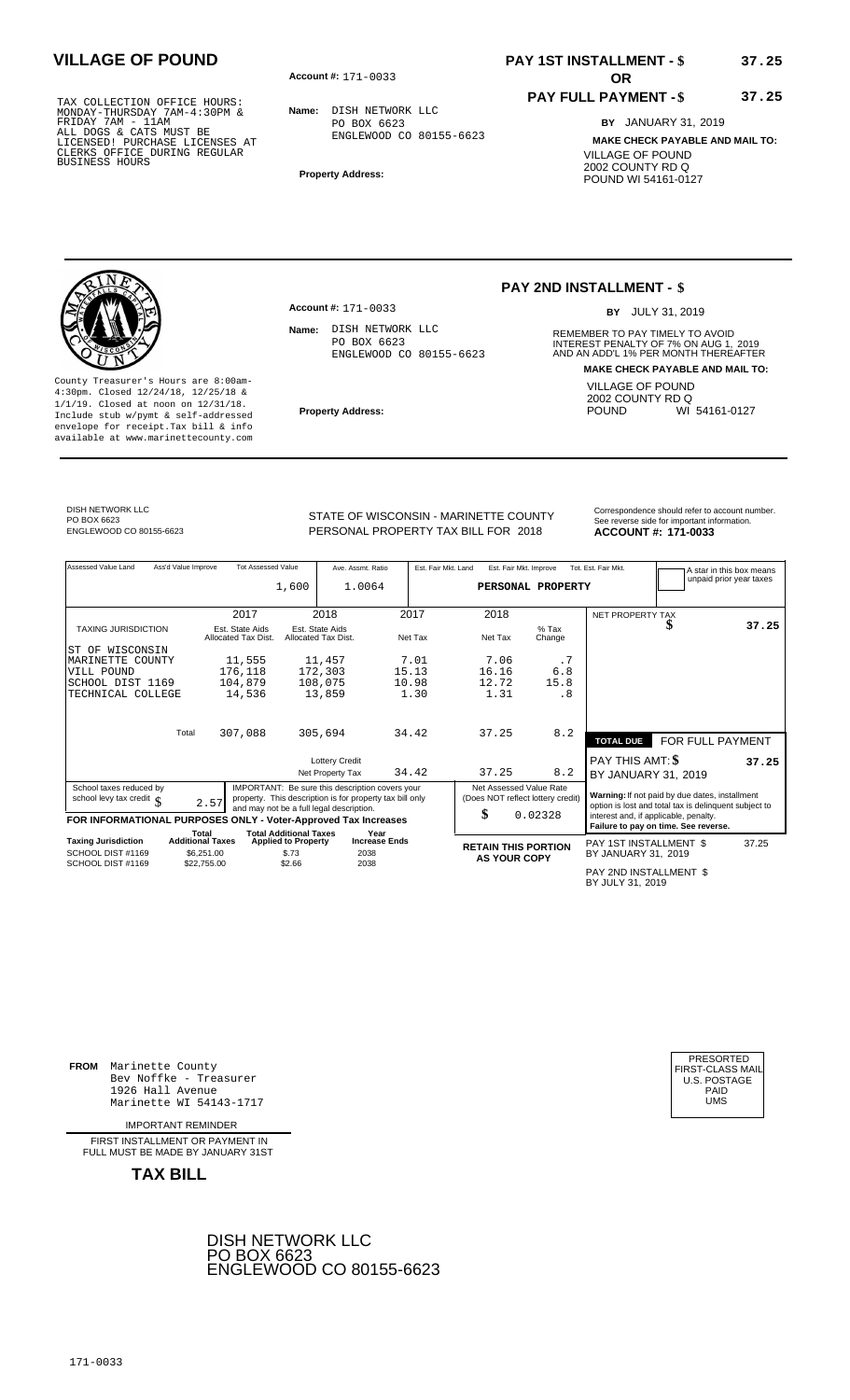**Account #: OR** 171-0033

**Name:** DISH NETWORK LLC PO BOX 6623 ENGLEWOOD CO 80155-6623

**Property Address:**

# **PAY 1ST INSTALLMENT - \$ VILLAGE OF POUND 37.25**

### **PAY FULL PAYMENT - \$ 37.25**

**BY** JANUARY 31, 2019 **MAKE CHECK PAYABLE AND MAIL TO:** VILLAGE OF POUND 2002 COUNTY RD Q POUND WI 54161-0127

County Treasurer's Hours are 8:00am-4:30pm. Closed 12/24/18, 12/25/18 & 1/1/19. Closed at noon on 12/31/18. **Property Address:** Include stub w/pymt & self-addressed envelope for receipt.Tax bill & info available at www.marinettecounty.com

**Account #:** 171-0033

Name: DISH NETWORK LLC PO BOX 6623 ENGLEWOOD CO 80155-6623

# **PAY 2ND INSTALLMENT - \$**

BY JULY 31, 2019

**Name:** REMEMBER TO PAY TIMELY TO AVOID INTEREST PENALTY OF 7% ON AUG 1, 2019<br>AND AN ADD'L 1% PER MONTH THEREAFTER **MAKE CHECK PAYABLE AND MAIL TO:** VILLAGE OF POUND 2002 COUNTY RD Q<br>POUND WI WI 54161-0127

## STATE OF WISCONSIN - MARINETTE COUNTY<br>
PERSONAL PROPERTY TAX BILL FOR 2018<br> **ACCOUNT #: 171-0033** ENGLEWOOD CO 80155-6623 **171-0033** PERSONAL PROPERTY TAX BILL FOR 2018 **ACCOUNT #: 171-0033**

| Assessed Value Land                                            | Ass'd Value Improve | <b>Tot Assessed Value</b>              |                                                             | Ave. Assmt. Ratio                                                                                                                                       |         | Est. Fair Mkt. Land | Est. Fair Mkt. Improve                                       |                   | Tot. Est. Fair Mkt.                        |                                                                                                         | A star in this box means |
|----------------------------------------------------------------|---------------------|----------------------------------------|-------------------------------------------------------------|---------------------------------------------------------------------------------------------------------------------------------------------------------|---------|---------------------|--------------------------------------------------------------|-------------------|--------------------------------------------|---------------------------------------------------------------------------------------------------------|--------------------------|
|                                                                |                     |                                        | 1,600                                                       | 1.0064                                                                                                                                                  |         |                     | PERSONAL PROPERTY                                            |                   |                                            |                                                                                                         | unpaid prior year taxes  |
|                                                                |                     |                                        |                                                             |                                                                                                                                                         |         |                     |                                                              |                   |                                            |                                                                                                         |                          |
|                                                                |                     | 2017                                   |                                                             | 2018                                                                                                                                                    | 2017    |                     | 2018                                                         |                   | <b>NET PROPERTY TAX</b>                    |                                                                                                         |                          |
| <b>TAXING JURISDICTION</b>                                     |                     | Est. State Aids<br>Allocated Tax Dist. |                                                             | Est. State Aids<br>Allocated Tax Dist.                                                                                                                  | Net Tax |                     | Net Tax                                                      | $%$ Tax<br>Change |                                            | ъ                                                                                                       | 37.25                    |
| WISCONSIN<br>ST OF                                             |                     |                                        |                                                             |                                                                                                                                                         |         |                     |                                                              |                   |                                            |                                                                                                         |                          |
| MARINETTE COUNTY                                               |                     | 11,555                                 |                                                             | 11,457                                                                                                                                                  | 7.01    |                     | 7.06                                                         | .7                |                                            |                                                                                                         |                          |
| VILL POUND                                                     |                     | 176,118                                |                                                             | 172,303                                                                                                                                                 | 15.13   |                     | 16.16                                                        | 6.8               |                                            |                                                                                                         |                          |
| SCHOOL DIST 1169                                               |                     | 104,879                                |                                                             | 108,075                                                                                                                                                 | 10.98   |                     | 12.72                                                        | 15.8              |                                            |                                                                                                         |                          |
| TECHNICAL COLLEGE                                              |                     | 14,536                                 |                                                             | 13,859                                                                                                                                                  | 1.30    |                     | 1.31                                                         | . 8               |                                            |                                                                                                         |                          |
|                                                                |                     |                                        |                                                             |                                                                                                                                                         |         |                     |                                                              |                   |                                            |                                                                                                         |                          |
|                                                                | Total               | 307,088                                |                                                             | 305,694                                                                                                                                                 | 34.42   |                     | 37.25                                                        | 8.2               | <b>TOTAL DUE</b>                           | FOR FULL PAYMENT                                                                                        |                          |
|                                                                |                     |                                        |                                                             | <b>Lottery Credit</b>                                                                                                                                   |         |                     |                                                              |                   | PAY THIS AMT: \$                           |                                                                                                         | 37.25                    |
|                                                                |                     |                                        |                                                             | Net Property Tax                                                                                                                                        | 34.42   |                     | 37.25                                                        | 8.2               | BY JANUARY 31, 2019                        |                                                                                                         |                          |
| School taxes reduced by<br>school levy tax credit $\int$       |                     | 2.57                                   |                                                             | IMPORTANT: Be sure this description covers your<br>property. This description is for property tax bill only<br>and may not be a full legal description. |         |                     | Net Assessed Value Rate<br>(Does NOT reflect lottery credit) |                   |                                            | Warning: If not paid by due dates, installment<br>option is lost and total tax is delinquent subject to |                          |
| FOR INFORMATIONAL PURPOSES ONLY - Voter-Approved Tax Increases |                     |                                        |                                                             |                                                                                                                                                         |         |                     | \$                                                           | 0.02328           | interest and, if applicable, penalty.      | Failure to pay on time. See reverse.                                                                    |                          |
| <b>Taxing Jurisdiction</b>                                     |                     | Total<br><b>Additional Taxes</b>       | <b>Total Additional Taxes</b><br><b>Applied to Property</b> | Year<br><b>Increase Ends</b>                                                                                                                            |         |                     |                                                              |                   | PAY 1ST INSTALLMENT \$                     |                                                                                                         | 37.25                    |
| SCHOOL DIST #1169                                              |                     | \$6,251.00                             | \$.73                                                       | 2038                                                                                                                                                    |         |                     | <b>RETAIN THIS PORTION</b><br><b>AS YOUR COPY</b>            |                   | BY JANUARY 31, 2019                        |                                                                                                         |                          |
| SCHOOL DIST #1169                                              |                     | \$22,755.00                            | \$2.66                                                      | 2038                                                                                                                                                    |         |                     |                                                              |                   | PAY 2ND INSTALLMENT \$<br>BY JULY 31, 2019 |                                                                                                         |                          |

**FROM** Marinette County Bev Noffke - Treasurer 1926 Hall Avenue PAID Marinette WI 54143-1717 UMS

IMPORTANT REMINDER

FIRST INSTALLMENT OR PAYMENT IN FULL MUST BE MADE BY JANUARY 31ST



| PRESORTED<br>FIRST-CLASS MAIL<br><b>U.S. POSTAGE</b><br>PAID |
|--------------------------------------------------------------|
| UMS                                                          |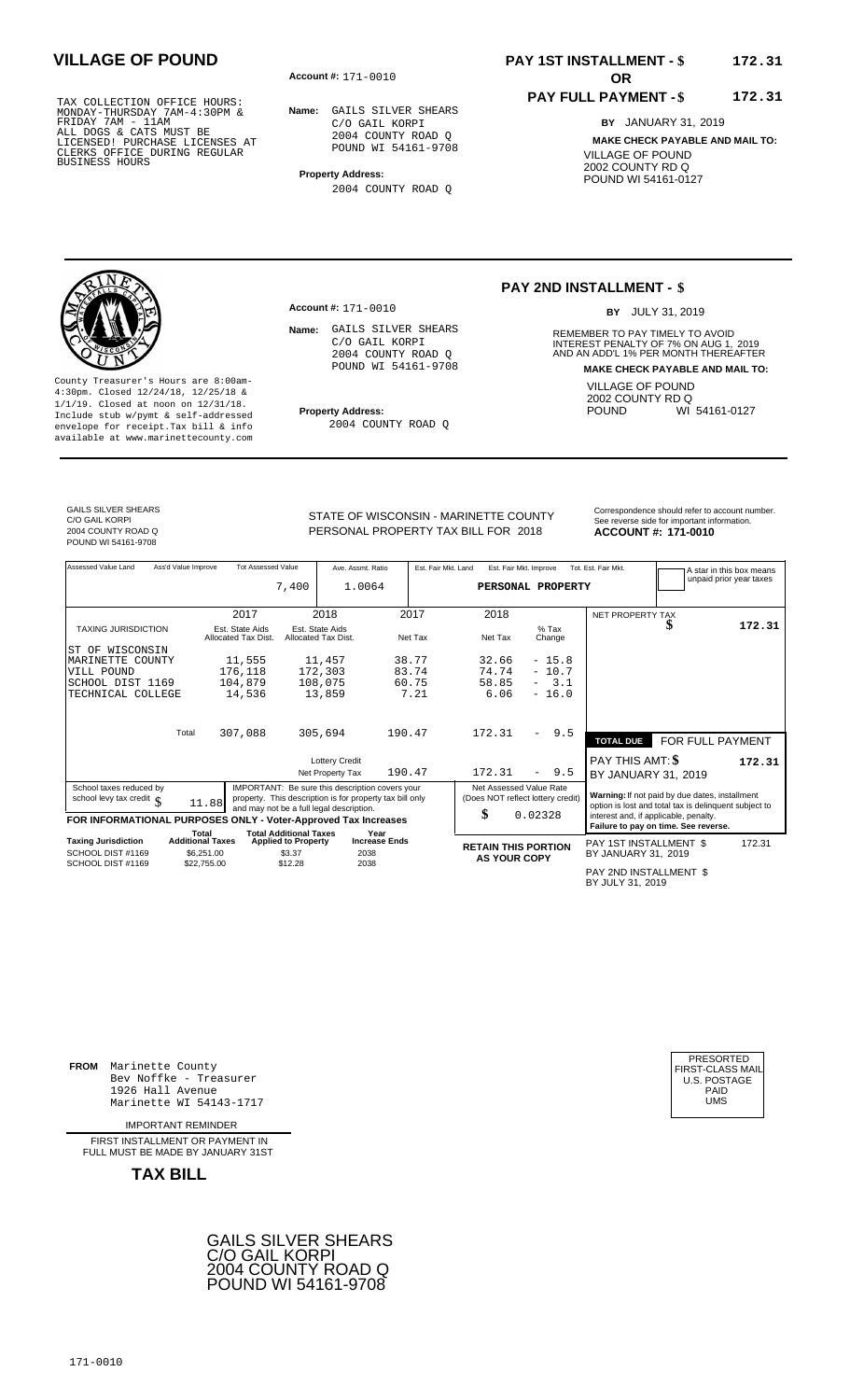**Account #: OR** 171-0010

**Name:** GAILS SILVER SHEARS C/O GAIL KORPI 2004 COUNTY ROAD Q POUND WI 54161-9708

**Property Address:** 2004 COUNTY ROAD Q

**Account #:** 171-0010

# **PAY 1ST INSTALLMENT - \$ VILLAGE OF POUND 172.31**

### **PAY FULL PAYMENT - \$ 172.31**

**BY** JANUARY 31, 2019 **MAKE CHECK PAYABLE AND MAIL TO:** VILLAGE OF POUND 2002 COUNTY RD Q POUND WI 54161-0127

### **PAY 2ND INSTALLMENT - \$**

BY JULY 31, 2019

**Name:** REMEMBER TO PAY TIMELY TO AVOID INTEREST PENALTY OF 7% ON AUG 1, 2019<br>AND AN ADD'L 1% PER MONTH THEREAFTER **MAKE CHECK PAYABLE AND MAIL TO:** VILLAGE OF POUND 2002 COUNTY RD Q<br>POUND WI WI 54161-0127

County Treasurer's Hours are 8:00am-4:30pm. Closed 12/24/18, 12/25/18 & 1/1/19. Closed at noon on 12/31/18. **Property Address:** Include stub w/pymt & self-addressed envelope for receipt.Tax bill & info available at www.marinettecounty.com

2004 COUNTY ROAD Q

Name: GAILS SILVER SHEARS C/O GAIL KORPI 2004 COUNTY ROAD Q POUND WI 54161-9708

GAILS SILVER SHEARS C/O GAIL KORPI 2004 COUNTY ROAD Q POUND WI 54161-9708

PERSONAL PROPERTY TAX BILL FOR 2018

STATE OF WISCONSIN - MARINETTE COUNTY<br>See reverse side for important information **ACCOUNT #: 171-0010** 

| Assessed Value Land                                            | Ass'd Value Improve | <b>Tot Assessed Value</b>              |                                                             | Ave. Assmt. Ratio                                        |                              |         | Est. Fair Mkt. Land | Est. Fair Mkt. Improve     |                                   | Tot. Est. Fair Mkt.                        |                                                                                                         | A star in this box means<br>unpaid prior year taxes |
|----------------------------------------------------------------|---------------------|----------------------------------------|-------------------------------------------------------------|----------------------------------------------------------|------------------------------|---------|---------------------|----------------------------|-----------------------------------|--------------------------------------------|---------------------------------------------------------------------------------------------------------|-----------------------------------------------------|
|                                                                |                     |                                        | 7,400                                                       | 1.0064                                                   |                              |         |                     |                            | PERSONAL PROPERTY                 |                                            |                                                                                                         |                                                     |
|                                                                |                     |                                        |                                                             |                                                          |                              |         |                     |                            |                                   |                                            |                                                                                                         |                                                     |
|                                                                |                     | 2017                                   |                                                             | 2018                                                     |                              | 2017    |                     | 2018                       |                                   | <b>NET PROPERTY TAX</b>                    |                                                                                                         |                                                     |
| <b>TAXING JURISDICTION</b>                                     |                     | Est. State Aids<br>Allocated Tax Dist. |                                                             | Est. State Aids<br>Allocated Tax Dist.                   |                              | Net Tax |                     | Net Tax                    | $%$ Tax<br>Change                 |                                            |                                                                                                         | 172.31                                              |
| ST OF WISCONSIN                                                |                     |                                        |                                                             |                                                          |                              |         |                     |                            |                                   |                                            |                                                                                                         |                                                     |
| MARINETTE COUNTY                                               |                     | 11,555                                 |                                                             | 11,457                                                   |                              | 38.77   |                     | 32.66                      | $-15.8$                           |                                            |                                                                                                         |                                                     |
| VILL POUND                                                     |                     | 176,118                                |                                                             | 172,303                                                  |                              | 83.74   |                     | 74.74                      | $-10.7$                           |                                            |                                                                                                         |                                                     |
| SCHOOL DIST 1169                                               |                     | 104,879                                |                                                             | 108,075                                                  |                              | 60.75   |                     | 58.85                      | $-3.1$                            |                                            |                                                                                                         |                                                     |
| TECHNICAL COLLEGE                                              |                     | 14,536                                 |                                                             | 13,859                                                   |                              | 7.21    |                     | 6.06                       | $-16.0$                           |                                            |                                                                                                         |                                                     |
|                                                                |                     |                                        |                                                             |                                                          |                              |         |                     |                            |                                   |                                            |                                                                                                         |                                                     |
|                                                                |                     |                                        |                                                             |                                                          |                              |         |                     |                            |                                   |                                            |                                                                                                         |                                                     |
|                                                                | Total               | 307,088                                |                                                             | 305,694                                                  | 190.47                       |         |                     | 172.31                     | 9.5<br>$-$                        | <b>TOTAL DUE</b>                           | FOR FULL PAYMENT                                                                                        |                                                     |
|                                                                |                     |                                        |                                                             | <b>Lottery Credit</b>                                    |                              |         |                     |                            |                                   | PAY THIS AMT: \$                           |                                                                                                         | 172.31                                              |
|                                                                |                     |                                        |                                                             | Net Property Tax                                         | 190.47                       |         |                     | 172.31                     | 9.5<br>-                          | BY JANUARY 31, 2019                        |                                                                                                         |                                                     |
| School taxes reduced by                                        |                     |                                        |                                                             | IMPORTANT: Be sure this description covers your          |                              |         |                     | Net Assessed Value Rate    |                                   |                                            |                                                                                                         |                                                     |
| school levy tax credit $\int$                                  |                     | 11.88                                  |                                                             | property. This description is for property tax bill only |                              |         |                     |                            | (Does NOT reflect lottery credit) |                                            | Warning: If not paid by due dates, installment<br>option is lost and total tax is delinquent subject to |                                                     |
|                                                                |                     |                                        |                                                             | and may not be a full legal description.                 |                              |         |                     | \$                         | 0.02328                           |                                            | interest and, if applicable, penalty.                                                                   |                                                     |
| FOR INFORMATIONAL PURPOSES ONLY - Voter-Approved Tax Increases |                     |                                        |                                                             |                                                          |                              |         |                     |                            |                                   |                                            | Failure to pay on time. See reverse.                                                                    |                                                     |
| <b>Taxing Jurisdiction</b>                                     |                     | Total<br><b>Additional Taxes</b>       | <b>Total Additional Taxes</b><br><b>Applied to Property</b> |                                                          | Year<br><b>Increase Ends</b> |         |                     |                            |                                   | PAY 1ST INSTALLMENT \$                     |                                                                                                         | 172.31                                              |
| SCHOOL DIST #1169                                              |                     | \$6,251.00                             | \$3.37                                                      | 2038                                                     |                              |         |                     | <b>RETAIN THIS PORTION</b> |                                   | BY JANUARY 31, 2019                        |                                                                                                         |                                                     |
| SCHOOL DIST #1169                                              |                     | \$22,755.00                            | \$12.28                                                     | 2038                                                     |                              |         |                     | <b>AS YOUR COPY</b>        |                                   |                                            |                                                                                                         |                                                     |
|                                                                |                     |                                        |                                                             |                                                          |                              |         |                     |                            |                                   | PAY 2ND INSTALLMENT \$<br>BY JULY 31, 2019 |                                                                                                         |                                                     |

**FROM** Marinette County Bev Noffke - Treasurer (U.S. POSTAGE)<br>1926 Hall Avenue (U.S. POSTAGE)<br>Marinette WI 54143-1717 (U.S. POSTAGE) 1926 Hall Avenue PAID Marinette WI 54143-1717 UMS

IMPORTANT REMINDER

FIRST INSTALL MENT OR PAYMENT IN FULL MUST BE MADE BY JANUARY 31ST



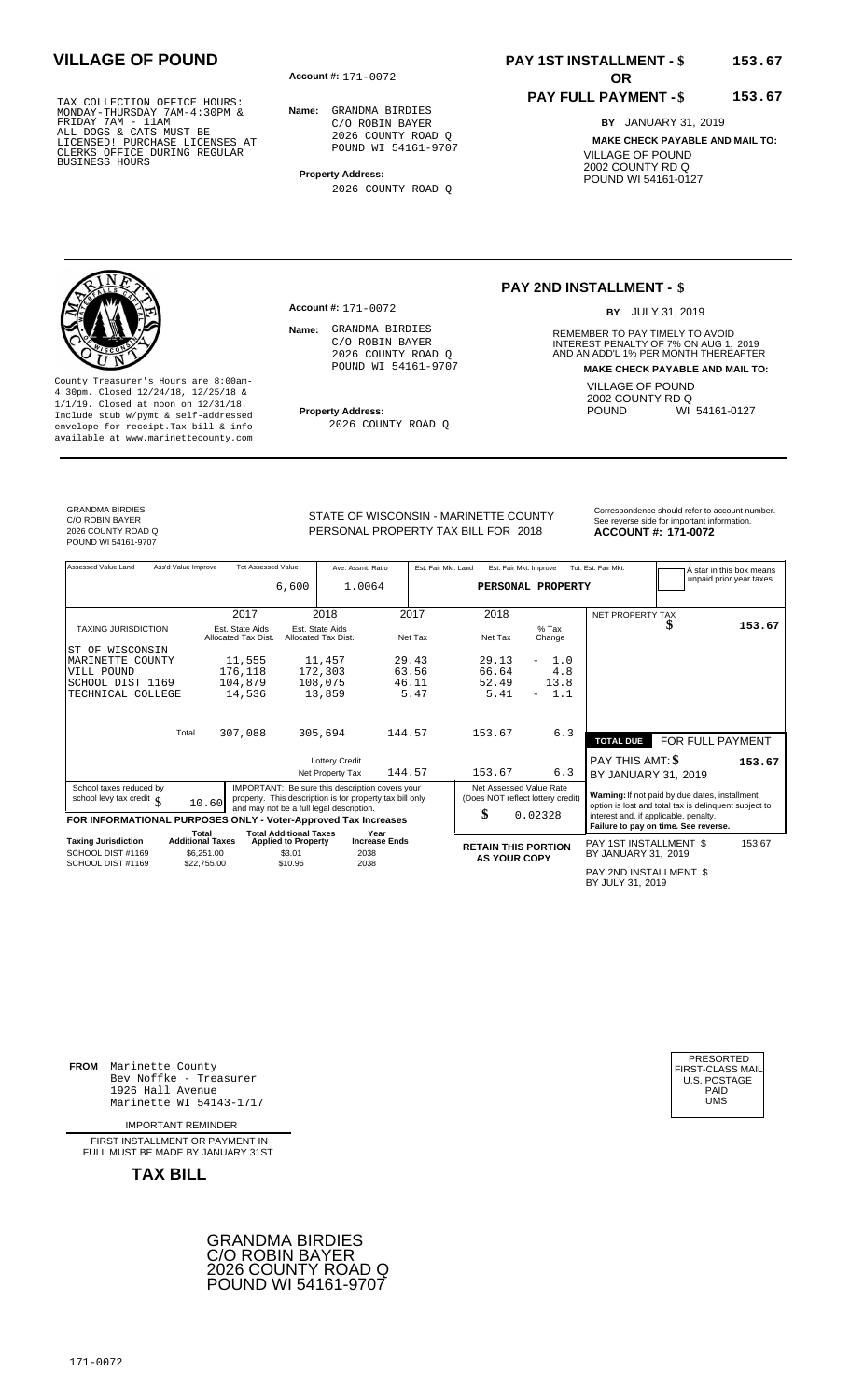**Account #: OR** 171-0072

**Name:** GRANDMA BIRDIES C/O ROBIN BAYER 2026 COUNTY ROAD Q POUND WI 54161-9707

**Property Address:** 2026 COUNTY ROAD Q

# **PAY 1ST INSTALLMENT - \$** 153.67

### **PAY FULL PAYMENT - \$ 153.67**

**BY** JANUARY 31, 2019 **MAKE CHECK PAYABLE AND MAIL TO:** VILLAGE OF POUND 2002 COUNTY RD Q POUND WI 54161-0127

### **PAY 2ND INSTALLMENT - \$**

BY JULY 31, 2019

**Name:** REMEMBER TO PAY TIMELY TO AVOID INTEREST PENALTY OF 7% ON AUG 1, 2019<br>AND AN ADD'L 1% PER MONTH THEREAFTER **MAKE CHECK PAYABLE AND MAIL TO:** VILLAGE OF POUND 2002 COUNTY RD Q<br>POUND WI WI 54161-0127

County Treasurer's Hours are 8:00am-4:30pm. Closed 12/24/18, 12/25/18 & 1/1/19. Closed at noon on 12/31/18. **Property Address:** Include stub w/pymt & self-addressed envelope for receipt.Tax bill & info available at www.marinettecounty.com

**Account #: 171-0072** 

Name: GRANDMA BIRDIES C/O ROBIN BAYER 2026 COUNTY ROAD Q POUND WI 54161-9707

2026 COUNTY ROAD Q

GRANDMA BIRDIES C/O ROBIN BAYER 2026 COUNTY ROAD Q POUND WI 54161-9707

STATE OF WISCONSIN - MARINETTE COUNTY<br>See reverse side for important information PERSONAL PROPERTY TAX BILL FOR 2018

2018 **171-0072**

Assessed Value Land Ass'd Value Improve Tot Assessed Value Ave. Assmt. Ratio Est. Fair Mkt. Land Est. Fair Mkt. Improve Tot. Est. Fair Mkt. A star in this box means<br>unpaid prior year taxes **PERSONAL PROPERTY** NET PROPERTY TAX TAXING JURISDICTION Est. State Aids Est. State Aids % Tax **\$** Allocated Tax Dist. Allocated Tax Dist. Net Tax Net Tax Change Total **TOTAL DUE** FOR FULL PAYMENT Lottery Credit<br>Net Property Tax 144.57 153.67 6.3 BY JANUARY 31, Net Property Tax BY JANUARY 31, 144.57 153.67 6.3 2019 School taxes reduced by<br>
school levy tax credit \$ 10.60 MPORTANT: Be sure this description covers your<br>
FOR INFORMATIONAL PURPOSES ONLY - Voter-Approved Tax Increases \$ 6.000 MPORTANT: Be sure this description is for prope Total Total Additional Taxes Year<br>Taxing Jurisdiction Additional Taxes Applied to Property Increase Ends **Taxing Jurisdiction and Additional Taxes Applied to Property Increase Ends <b>RETAIN THIS PORTION** PAY 1ST INSTALLMENT \$ BY JANUARY 31, **AS YOUR COPY** 2019 6,600 1.0064 2017 2018 2017 2018  **153.67** ST OF WISCONSIN MARINETTE COUNTY VILL POUND SCHOOL DIST 1169 TECHNICAL COLLEGE 11,555 176,118 104,879 14,536 11,457 172,303 108,075 13,859 29.43 63.56 46.11 5.47 29.13 66.64 52.49 5.41 - 1.0 4.8 13.8 - 1.1 307,088 305,694 144.57 153.67 6.3 **153.67** 0.02328 153.67 SCHOOL DIST #1169 SCHOOL DIST #1169 \$6,251.00  $$22,755.00$  \$3.01 \$10.96 2038 2038

PAY 2ND INSTALLMENT \$ BY JULY 31, 2019

**FROM** Marinette County Bev Noffke - Treasurer (U.S. POSTAGE)<br>1926 Hall Avenue (U.S. POSTAGE)<br>Marinette WI 54143-1717 (UMS 1926 Hall Avenue Marinette WI 54143-1717

IMPORTANT REMINDER

FIRST INSTALL MENT OR PAYMENT IN FULL MUST BE MADE BY JANUARY 31ST



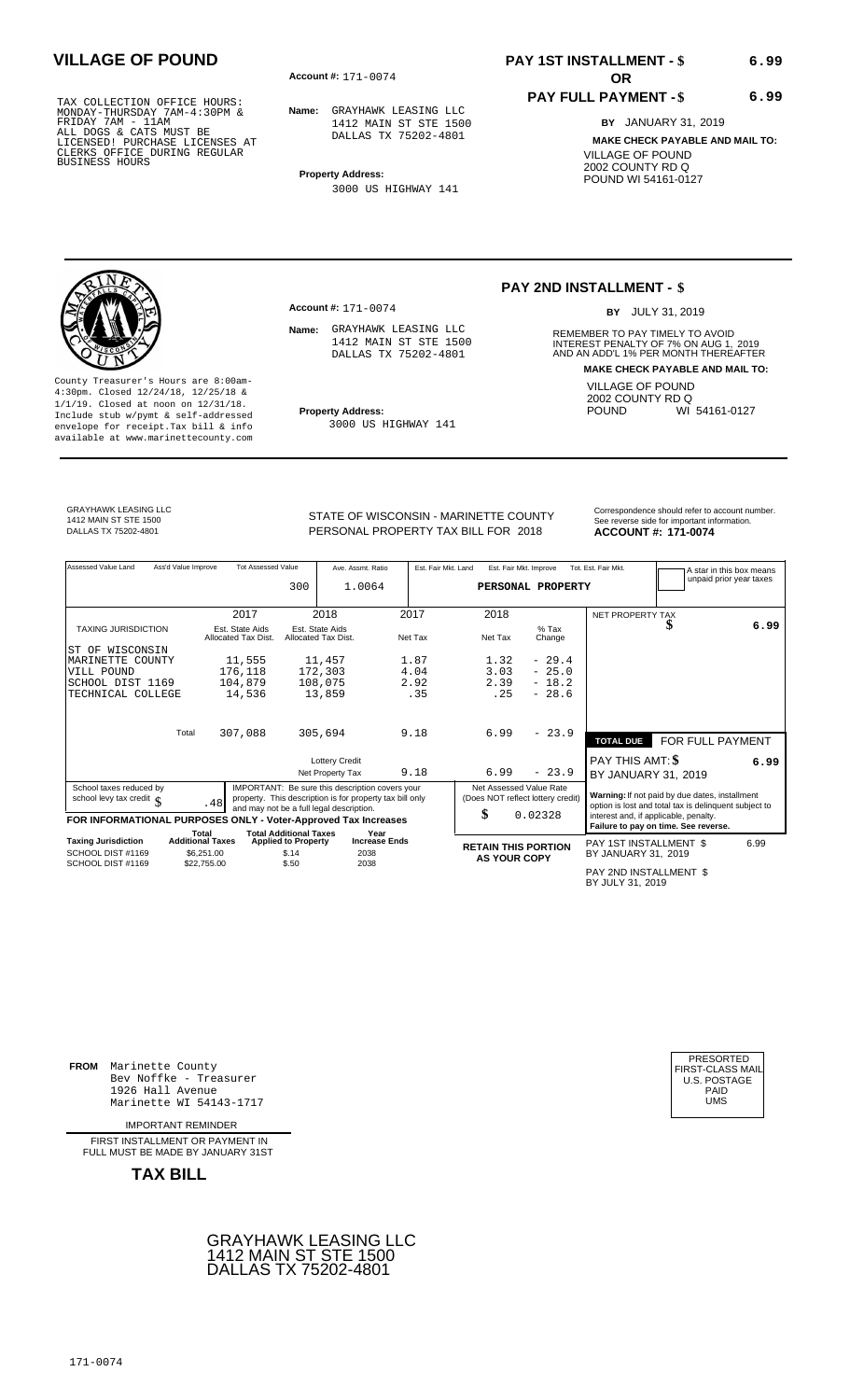**Account #: OR** 171-0074

**Account #:** 171-0074

**Name:** GRAYHAWK LEASING LLC 1412 MAIN ST STE 1500 DALLAS TX 75202-4801

**Property Address:** 3000 US HIGHWAY 141

> 1412 MAIN ST STE 1500 DALLAS TX 75202-4801

3000 US HIGHWAY 141

## **PAY 1ST INSTALLMENT - \$ VILLAGE OF POUND 6.99**

### **PAY FULL PAYMENT - \$**

**BY** JANUARY 31, 2019 **MAKE CHECK PAYABLE AND MAIL TO:** VILLAGE OF POUND 2002 COUNTY RD Q POUND WI 54161-0127

**6.99**

### **PAY 2ND INSTALLMENT - \$**

BY JULY 31, 2019

**Name:** GRAYHAWK LEASING LLC REMEMBER TO PAY TIMELY TO AVOID INTEREST PENALTY OF 7% ON AUG 1, 2019<br>AND AN ADD'L 1% PER MONTH THEREAFTER **MAKE CHECK PAYABLE AND MAIL TO:** VILLAGE OF POUND 2002 COUNTY RD Q<br>POUND WI WI 54161-0127

County Treasurer's Hours are 8:00am-4:30pm. Closed 12/24/18, 12/25/18 & 1/1/19. Closed at noon on 12/31/18. **Property Address:** Include stub w/pymt & self-addressed envelope for receipt.Tax bill & info available at www.marinettecounty.com

GRAYHAWK LEASING LLC 1412 MAIN ST STE 1500

STATE OF WISCONSIN - MARINETTE COUNTY<br>
PERSONAL PROPERTY TAX BILL FOR 2018<br> **ACCOUNT #: 171-0074** PERSONAL PROPERTY TAX BILL FOR **ACCOUNT #:** DALLAS TX 75202-4801 2018 **171-0074**

| Assessed Value Land                                            | Ass'd Value Improve              | <b>Tot Assessed Value</b>              |                                                             | Ave. Assmt. Ratio                                        |         | Est. Fair Mkt. Land               | Est. Fair Mkt. Improve |                   | Tot. Est. Fair Mkt.                        |                                                                                                         | A star in this box means |
|----------------------------------------------------------------|----------------------------------|----------------------------------------|-------------------------------------------------------------|----------------------------------------------------------|---------|-----------------------------------|------------------------|-------------------|--------------------------------------------|---------------------------------------------------------------------------------------------------------|--------------------------|
|                                                                |                                  |                                        | 300                                                         | 1.0064                                                   |         |                                   |                        | PERSONAL PROPERTY |                                            |                                                                                                         | unpaid prior year taxes  |
|                                                                |                                  | 2017                                   | 2018                                                        |                                                          | 2017    | 2018                              |                        |                   |                                            |                                                                                                         |                          |
|                                                                |                                  |                                        |                                                             |                                                          |         |                                   |                        |                   | <b>NET PROPERTY TAX</b>                    |                                                                                                         |                          |
| <b>TAXING JURISDICTION</b>                                     |                                  | Est. State Aids<br>Allocated Tax Dist. | Est. State Aids<br>Allocated Tax Dist.                      |                                                          | Net Tax | Net Tax                           |                        | $%$ Tax<br>Change |                                            | D                                                                                                       | 6.99                     |
| WISCONSIN<br>ST OF                                             |                                  |                                        |                                                             |                                                          |         |                                   |                        |                   |                                            |                                                                                                         |                          |
| MARINETTE COUNTY                                               |                                  | 11,555                                 | 11,457                                                      |                                                          | 1.87    | 1.32                              |                        | $-29.4$           |                                            |                                                                                                         |                          |
| VILL POUND                                                     |                                  | 176,118                                | 172,303                                                     |                                                          | 4.04    | 3.03                              |                        | $-25.0$           |                                            |                                                                                                         |                          |
| SCHOOL DIST 1169                                               |                                  | 104,879                                | 108,075                                                     |                                                          | 2.92    | 2.39                              |                        | $-18.2$           |                                            |                                                                                                         |                          |
| TECHNICAL COLLEGE                                              |                                  | 14,536                                 | 13,859                                                      |                                                          | .35     | .25                               |                        | $-28.6$           |                                            |                                                                                                         |                          |
|                                                                |                                  |                                        |                                                             |                                                          |         |                                   |                        |                   |                                            |                                                                                                         |                          |
|                                                                | Total                            | 307,088                                | 305,694                                                     |                                                          | 9.18    | 6.99                              |                        | $-23.9$           |                                            |                                                                                                         |                          |
|                                                                |                                  |                                        |                                                             |                                                          |         |                                   |                        |                   | <b>TOTAL DUE</b>                           | FOR FULL PAYMENT                                                                                        |                          |
|                                                                |                                  |                                        |                                                             | <b>Lottery Credit</b>                                    |         |                                   |                        |                   | PAY THIS AMT: \$                           |                                                                                                         | 6.99                     |
|                                                                |                                  |                                        |                                                             | Net Property Tax                                         | 9.18    | 6.99                              |                        | $-23.9$           | BY JANUARY 31, 2019                        |                                                                                                         |                          |
| School taxes reduced by                                        |                                  |                                        |                                                             | IMPORTANT: Be sure this description covers your          |         | Net Assessed Value Rate           |                        |                   |                                            |                                                                                                         |                          |
| school levy tax credit $\int$                                  |                                  | .48                                    |                                                             | property. This description is for property tax bill only |         | (Does NOT reflect lottery credit) |                        |                   |                                            | Warning: If not paid by due dates, installment<br>option is lost and total tax is delinquent subject to |                          |
|                                                                |                                  |                                        |                                                             | and may not be a full legal description.                 |         | \$                                |                        | 0.02328           | interest and, if applicable, penalty.      |                                                                                                         |                          |
| FOR INFORMATIONAL PURPOSES ONLY - Voter-Approved Tax Increases |                                  |                                        |                                                             |                                                          |         |                                   |                        |                   |                                            | Failure to pay on time. See reverse.                                                                    |                          |
| <b>Taxing Jurisdiction</b>                                     | Total<br><b>Additional Taxes</b> |                                        | <b>Total Additional Taxes</b><br><b>Applied to Property</b> | Year<br><b>Increase Ends</b>                             |         |                                   |                        |                   |                                            |                                                                                                         |                          |
| SCHOOL DIST #1169                                              | \$6,251,00                       |                                        | \$.14                                                       | 2038                                                     |         | <b>RETAIN THIS PORTION</b>        |                        |                   | PAY 1ST INSTALLMENT \$                     |                                                                                                         | 6.99                     |
| SCHOOL DIST #1169                                              | \$22,755.00                      |                                        | \$.50                                                       | 2038                                                     |         | <b>AS YOUR COPY</b>               |                        |                   | BY JANUARY 31, 2019                        |                                                                                                         |                          |
|                                                                |                                  |                                        |                                                             |                                                          |         |                                   |                        |                   | PAY 2ND INSTALLMENT \$<br>BY JULY 31, 2019 |                                                                                                         |                          |

**FROM** Marinette County Bev Noffke - Treasurer (U.S. POSTAGE)<br>1926 Hall Avenue (U.S. POSTAGE)<br>Marinette WI 54143-1717 (U.S. POSTAGE) 1926 Hall Avenue PAID Marinette WI 54143-1717 UMS

IMPORTANT REMINDER

FIRST INSTALL MENT OR PAYMENT IN FULL MUST BE MADE BY JANUARY 31ST



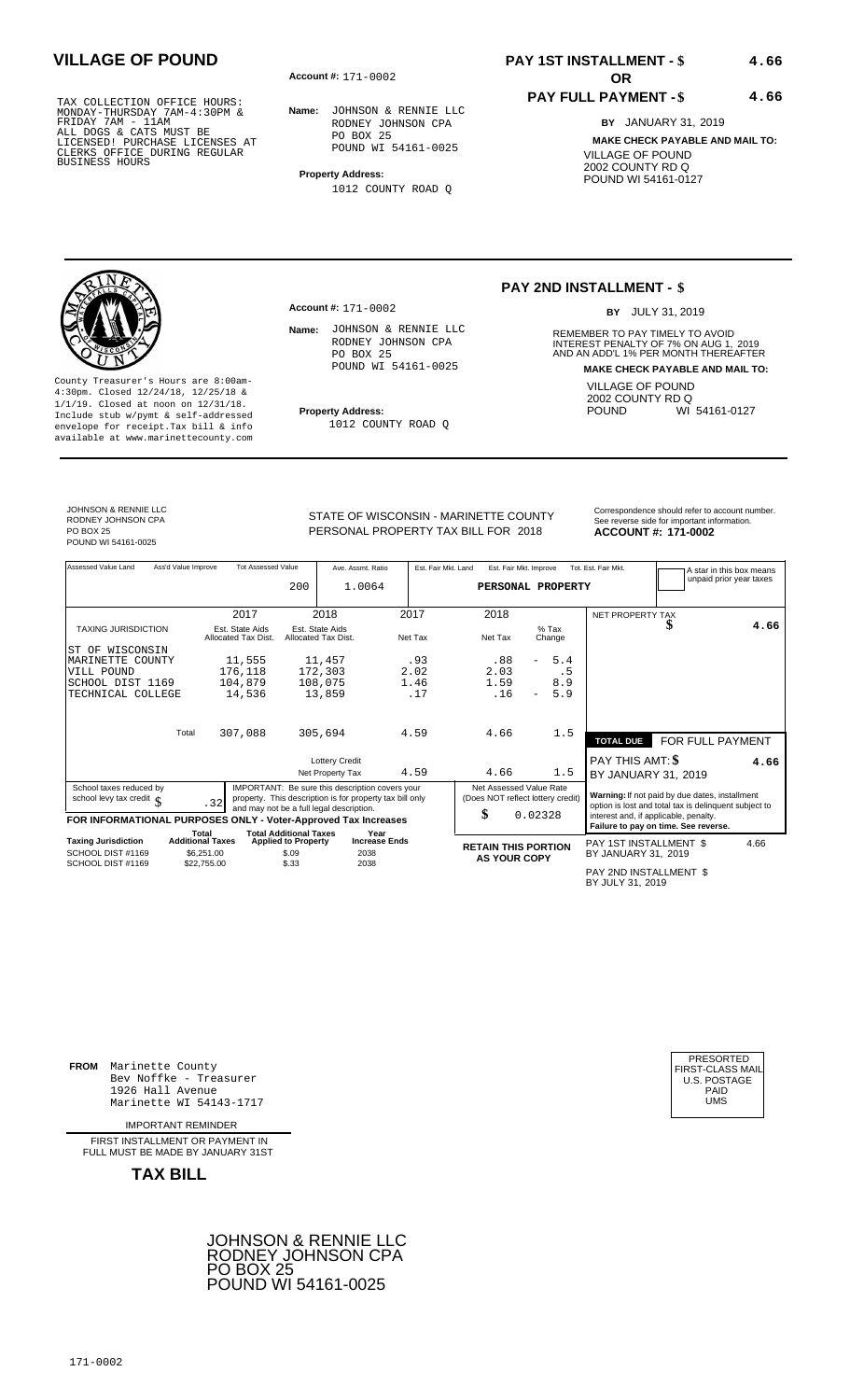**Account #: OR** 171-0002

**Account #: 171-0002** 

**Name:** JOHNSON & RENNIE LLC RODNEY JOHNSON CPA PO BOX 25 POUND WI 54161-0025

**Property Address:** 1012 COUNTY ROAD Q

Name: JOHNSON & RENNIE LLC RODNEY JOHNSON CPA

POUND WI 54161-0025

1012 COUNTY ROAD Q

PO BOX 25

# **PAY 1ST INSTALLMENT - \$ VILLAGE OF POUND 4.66**

### **PAY FULL PAYMENT - \$**

**BY** JANUARY 31, 2019 **MAKE CHECK PAYABLE AND MAIL TO:** VILLAGE OF POUND 2002 COUNTY RD Q POUND WI 54161-0127

**4.66**

# **PAY 2ND INSTALLMENT - \$**

BY JULY 31, 2019

**Name:** REMEMBER TO PAY TIMELY TO AVOID INTEREST PENALTY OF 7% ON AUG 1, 2019<br>AND AN ADD'L 1% PER MONTH THEREAFTER **MAKE CHECK PAYABLE AND MAIL TO:** VILLAGE OF POUND 2002 COUNTY RD Q<br>POUND WI WI 54161-0127

4:30pm. Closed 12/24/18, 12/25/18 & 1/1/19. Closed at noon on 12/31/18. **Property Address:** Include stub w/pymt & self-addressed envelope for receipt.Tax bill & info available at www.marinettecounty.com

PERSONAL PROPERTY TAX BILL FOR 2018

STATE OF WISCONSIN - MARINETTE COUNTY<br>See reverse side for important information 2018 **171-0002**

| Assessed Value Land                                            | Ass'd Value Improve | <b>Tot Assessed Value</b>              |                               | Ave. Assmt. Ratio                                                                                    |         | Est. Fair Mkt. Land | Est. Fair Mkt. Improve            |                          |                   | Tot. Est. Fair Mkt.                                   | A star in this box means<br>unpaid prior year taxes |
|----------------------------------------------------------------|---------------------|----------------------------------------|-------------------------------|------------------------------------------------------------------------------------------------------|---------|---------------------|-----------------------------------|--------------------------|-------------------|-------------------------------------------------------|-----------------------------------------------------|
|                                                                |                     |                                        | 200                           | 1.0064                                                                                               |         |                     | PERSONAL PROPERTY                 |                          |                   |                                                       |                                                     |
|                                                                |                     |                                        |                               |                                                                                                      |         |                     |                                   |                          |                   |                                                       |                                                     |
|                                                                |                     | 2017                                   |                               | 2018                                                                                                 | 2017    |                     | 2018                              |                          |                   | NET PROPERTY TAX                                      |                                                     |
| <b>TAXING JURISDICTION</b>                                     |                     | Est. State Aids<br>Allocated Tax Dist. |                               | Est. State Aids<br>Allocated Tax Dist.                                                               | Net Tax |                     | Net Tax                           |                          | $%$ Tax<br>Change |                                                       | 4.66                                                |
| ST OF WISCONSIN                                                |                     |                                        |                               |                                                                                                      |         |                     |                                   |                          |                   |                                                       |                                                     |
| MARINETTE COUNTY                                               |                     | 11,555                                 |                               | 11,457                                                                                               |         | .93                 | .88                               | $\overline{\phantom{0}}$ | 5.4               |                                                       |                                                     |
| VILL POUND                                                     |                     | 176,118                                |                               | 172,303                                                                                              | 2.02    |                     | 2.03                              |                          | . 5               |                                                       |                                                     |
| SCHOOL DIST 1169                                               |                     | 104,879                                |                               | 108,075                                                                                              | 1.46    |                     | 1.59                              |                          | 8.9               |                                                       |                                                     |
| TECHNICAL COLLEGE                                              |                     | 14,536                                 |                               | 13,859                                                                                               |         | .17                 | .16                               |                          | 5.9               |                                                       |                                                     |
|                                                                |                     |                                        |                               |                                                                                                      |         |                     |                                   |                          |                   |                                                       |                                                     |
|                                                                |                     |                                        |                               |                                                                                                      |         |                     |                                   |                          |                   |                                                       |                                                     |
|                                                                | Total               | 307,088                                |                               | 305,694                                                                                              | 4.59    |                     | 4.66                              |                          | 1.5               | <b>TOTAL DUE</b>                                      | FOR FULL PAYMENT                                    |
|                                                                |                     |                                        |                               | <b>Lottery Credit</b>                                                                                |         |                     |                                   |                          |                   | PAY THIS AMT: \$                                      |                                                     |
|                                                                |                     |                                        |                               | Net Property Tax                                                                                     | 4.59    |                     | 4.66                              |                          | 1.5               |                                                       | 4.66                                                |
|                                                                |                     |                                        |                               |                                                                                                      |         |                     |                                   |                          |                   | BY JANUARY 31, 2019                                   |                                                     |
| School taxes reduced by                                        |                     |                                        |                               | IMPORTANT: Be sure this description covers your                                                      |         |                     | Net Assessed Value Rate           |                          |                   | Warning: If not paid by due dates, installment        |                                                     |
| school levy tax credit $\int$                                  |                     | .32                                    |                               | property. This description is for property tax bill only<br>and may not be a full legal description. |         |                     | (Does NOT reflect lottery credit) |                          |                   | option is lost and total tax is delinquent subject to |                                                     |
| FOR INFORMATIONAL PURPOSES ONLY - Voter-Approved Tax Increases |                     |                                        |                               |                                                                                                      |         |                     | \$                                | 0.02328                  |                   | interest and, if applicable, penalty.                 |                                                     |
|                                                                | Total               |                                        | <b>Total Additional Taxes</b> | Year                                                                                                 |         |                     |                                   |                          |                   | Failure to pay on time. See reverse.                  |                                                     |
| <b>Taxing Jurisdiction</b>                                     |                     | <b>Additional Taxes</b>                | <b>Applied to Property</b>    | <b>Increase Ends</b>                                                                                 |         |                     | <b>RETAIN THIS PORTION</b>        |                          |                   | PAY 1ST INSTALLMENT \$                                | 4.66                                                |
| SCHOOL DIST #1169                                              |                     | \$6,251.00                             | \$.09                         | 2038                                                                                                 |         |                     | <b>AS YOUR COPY</b>               |                          |                   | BY JANUARY 31, 2019                                   |                                                     |
| SCHOOL DIST #1169                                              |                     | \$22,755.00                            | \$.33                         | 2038                                                                                                 |         |                     |                                   |                          |                   |                                                       |                                                     |
|                                                                |                     |                                        |                               |                                                                                                      |         |                     |                                   |                          |                   | PAY 2ND INSTALLMENT \$<br>BY JULY 31, 2019            |                                                     |

**FROM** Marinette County Bev Noffke - Treasurer (U.S. POSTAGE)<br>1926 Hall Avenue (U.S. POSTAGE)<br>Marinette WI 54143-1717 (U.S. POSTAGE) 1926 Hall Avenue PAID Marinette WI 54143-1717 UMS

IMPORTANT REMINDER

FIRST INSTALL MENT OR PAYMENT IN FULL MUST BE MADE BY JANUARY 31ST

**TAX BILL**





POUND WI 54161-0025

JOHNSON & RENNIE LLC RODNEY JOHNSON CPA

PO BOX 25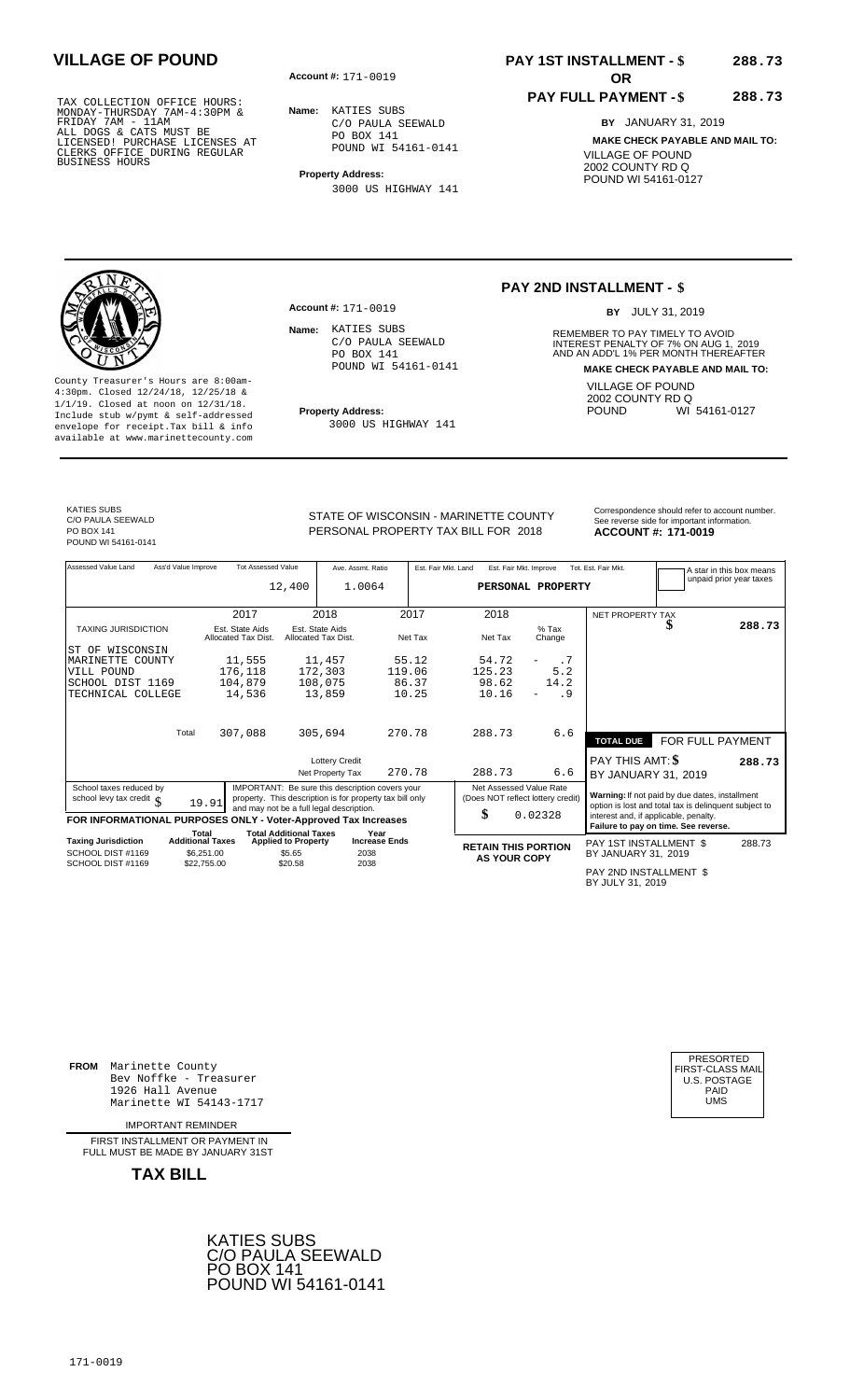**Account #: OR** 171-0019

**Name:** KATIES SUBS C/O PAULA SEEWALD PO BOX 141 POUND WI 54161-0141

**Property Address:**

**Account #:** 171-0019

Name: KATIES SUBS

3000 US HIGHWAY 141

C/O PAULA SEEWALD PO BOX 141

POUND WI 54161-0141

3000 US HIGHWAY 141

## **PAY 1ST INSTALLMENT - \$ VILLAGE OF POUND 288.73**

### **PAY FULL PAYMENT - \$**

**BY** JANUARY 31, 2019 **MAKE CHECK PAYABLE AND MAIL TO:** VILLAGE OF POUND 2002 COUNTY RD Q POUND WI 54161-0127

**288.73**

### **PAY 2ND INSTALLMENT - \$**

BY JULY 31, 2019

**Name:** REMEMBER TO PAY TIMELY TO AVOID INTEREST PENALTY OF 7% ON AUG 1, 2019<br>AND AN ADD'L 1% PER MONTH THEREAFTER **MAKE CHECK PAYABLE AND MAIL TO:** VILLAGE OF POUND 2002 COUNTY RD Q<br>POUND WI WI 54161-0127

County Treasurer's Hours are 8:00am-4:30pm. Closed 12/24/18, 12/25/18 & 1/1/19. Closed at noon on 12/31/18. **Property Address:** Include stub w/pymt & self-addressed envelope for receipt.Tax bill & info available at www.marinettecounty.com

KATIES SUBS C/O PAULA SEEWALD PO BOX 141 POUND WI 54161-0141 STATE OF WISCONSIN - MARINETTE COUNTY<br>See reverse side for important information PERSONAL PROPERTY TAX BILL FOR 2018

**ACCOUNT #: 171-0019** 

| Assessed Value Land                                            | Ass'd Value Improve     | <b>Tot Assessed Value</b>              |                               | Ave. Assmt. Ratio                                        |                      |         | Est. Fair Mkt. Land | Est. Fair Mkt. Improve     |                                   | Tot. Est. Fair Mkt.                        |                                                       | A star in this box means<br>unpaid prior year taxes |
|----------------------------------------------------------------|-------------------------|----------------------------------------|-------------------------------|----------------------------------------------------------|----------------------|---------|---------------------|----------------------------|-----------------------------------|--------------------------------------------|-------------------------------------------------------|-----------------------------------------------------|
|                                                                |                         |                                        | 12,400                        | 1.0064                                                   |                      |         |                     |                            | PERSONAL PROPERTY                 |                                            |                                                       |                                                     |
|                                                                |                         |                                        |                               |                                                          |                      |         |                     |                            |                                   |                                            |                                                       |                                                     |
|                                                                |                         | 2017                                   |                               | 2018                                                     |                      | 2017    |                     | 2018                       |                                   | NET PROPERTY TAX                           |                                                       |                                                     |
| <b>TAXING JURISDICTION</b>                                     |                         | Est. State Aids<br>Allocated Tax Dist. |                               | Est. State Aids<br>Allocated Tax Dist.                   |                      | Net Tax |                     | Net Tax                    | $%$ Tax<br>Change                 |                                            |                                                       | 288.73                                              |
| IST OF WISCONSIN                                               |                         |                                        |                               |                                                          |                      |         |                     |                            |                                   |                                            |                                                       |                                                     |
| MARINETTE COUNTY                                               |                         | 11,555                                 |                               | 11,457                                                   |                      | 55.12   |                     | 54.72                      | . 7                               |                                            |                                                       |                                                     |
| VILL POUND                                                     |                         | 176,118                                |                               | 172,303                                                  | 119.06               |         |                     | 125.23                     | 5.2                               |                                            |                                                       |                                                     |
| SCHOOL DIST 1169                                               |                         | 104,879                                |                               | 108,075                                                  |                      | 86.37   |                     | 98.62                      | 14.2                              |                                            |                                                       |                                                     |
| TECHNICAL COLLEGE                                              |                         | 14,536                                 |                               | 13,859                                                   |                      | 10.25   |                     | 10.16                      | . 9                               |                                            |                                                       |                                                     |
|                                                                |                         |                                        |                               |                                                          |                      |         |                     |                            |                                   |                                            |                                                       |                                                     |
|                                                                | Total                   | 307,088                                |                               | 305,694                                                  | 270.78               |         |                     | 288.73                     | 6.6                               |                                            |                                                       |                                                     |
|                                                                |                         |                                        |                               |                                                          |                      |         |                     |                            |                                   | <b>TOTAL DUE</b>                           | FOR FULL PAYMENT                                      |                                                     |
|                                                                |                         |                                        |                               | <b>Lottery Credit</b>                                    |                      |         |                     |                            |                                   | PAY THIS AMT: \$                           |                                                       | 288.73                                              |
|                                                                |                         |                                        |                               | Net Property Tax                                         |                      | 270.78  |                     | 288.73                     | 6.6                               | BY JANUARY 31, 2019                        |                                                       |                                                     |
| School taxes reduced by                                        |                         |                                        |                               | IMPORTANT: Be sure this description covers your          |                      |         |                     | Net Assessed Value Rate    |                                   |                                            | Warning: If not paid by due dates, installment        |                                                     |
| school levy tax credit $\int$                                  |                         | 19.91                                  |                               | property. This description is for property tax bill only |                      |         |                     |                            | (Does NOT reflect lottery credit) |                                            | option is lost and total tax is delinquent subject to |                                                     |
| FOR INFORMATIONAL PURPOSES ONLY - Voter-Approved Tax Increases |                         |                                        |                               | and may not be a full legal description.                 |                      |         |                     | \$                         | 0.02328                           |                                            | interest and, if applicable, penalty.                 |                                                     |
|                                                                | Total                   |                                        | <b>Total Additional Taxes</b> |                                                          | Year                 |         |                     |                            |                                   |                                            | Failure to pay on time. See reverse.                  |                                                     |
| <b>Taxing Jurisdiction</b>                                     | <b>Additional Taxes</b> |                                        | <b>Applied to Property</b>    |                                                          | <b>Increase Ends</b> |         |                     | <b>RETAIN THIS PORTION</b> |                                   | PAY 1ST INSTALLMENT \$                     |                                                       | 288.73                                              |
| SCHOOL DIST #1169                                              |                         | \$6,251.00                             | \$5.65                        |                                                          | 2038                 |         |                     | <b>AS YOUR COPY</b>        |                                   | BY JANUARY 31, 2019                        |                                                       |                                                     |
| SCHOOL DIST #1169                                              |                         | \$22,755.00                            | \$20.58                       |                                                          | 2038                 |         |                     |                            |                                   |                                            |                                                       |                                                     |
|                                                                |                         |                                        |                               |                                                          |                      |         |                     |                            |                                   | PAY 2ND INSTALLMENT \$<br>BY JULY 31, 2019 |                                                       |                                                     |

**FROM** Marinette County Bev Noffke - Treasurer (U.S. POSTAGE)<br>1926 Hall Avenue (U.S. POSTAGE)<br>Marinette WI 54143-1717 (U.S. POSTAGE) 1926 Hall Avenue PAID Marinette WI 54143-1717 UMS

IMPORTANT REMINDER

FIRST INSTALL MENT OR PAYMENT IN FULL MUST BE MADE BY JANUARY 31ST



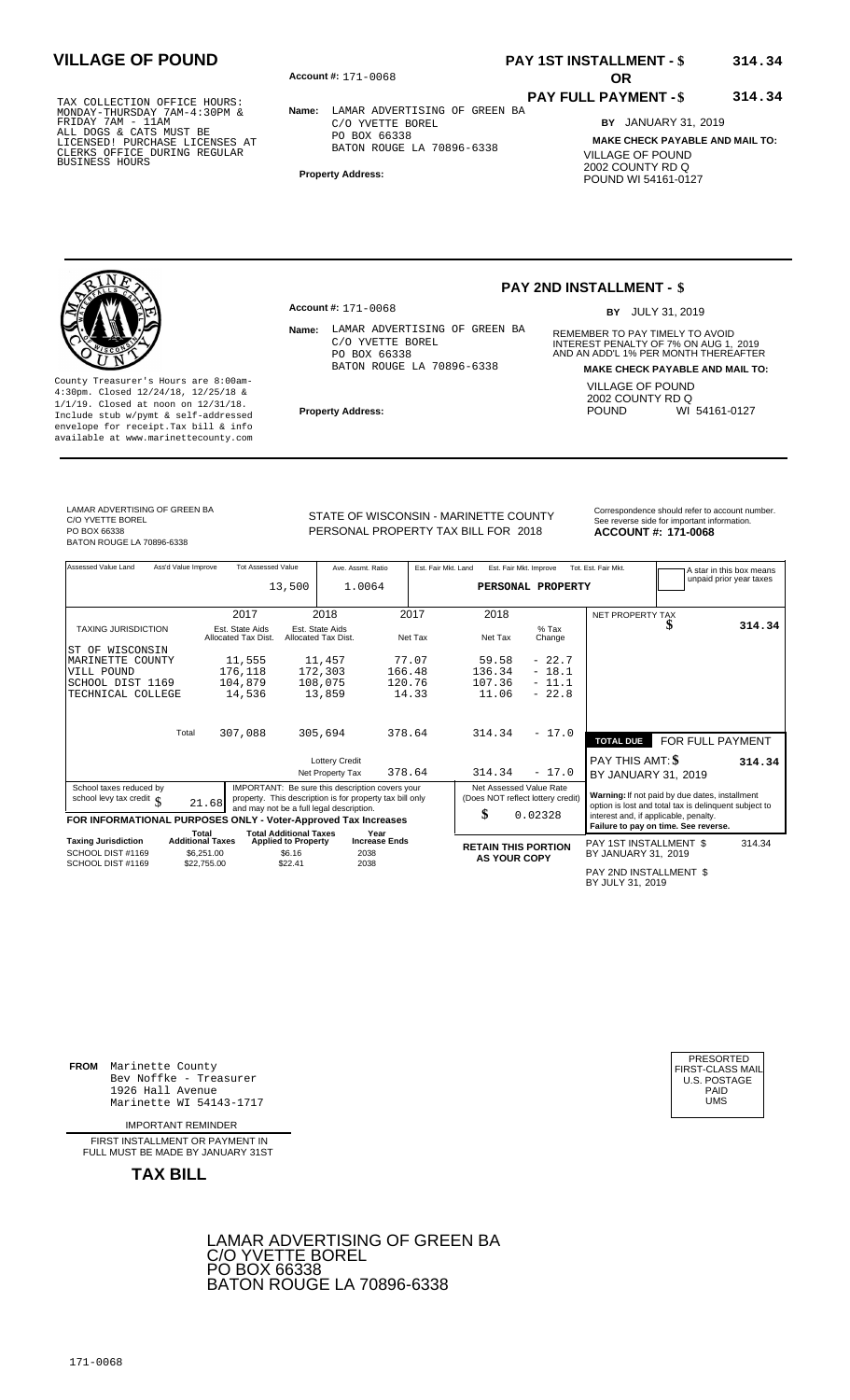**Account #: OR** 171-0068

**Name:** LAMAR ADVERTISING OF GREEN BA C/O YVETTE BOREL PO BOX 66338 BATON ROUGE LA 70896-6338

**Property Address:**

## **PAY 1ST INSTALLMENT - \$ VILLAGE OF POUND 314.34**

### **PAY FULL PAYMENT - \$ 314.34**

**BY** JANUARY 31, 2019 **MAKE CHECK PAYABLE AND MAIL TO:** VILLAGE OF POUND 2002 COUNTY RD Q POUND WI 54161-0127

County Treasurer's Hours are 8:00am-4:30pm. Closed 12/24/18, 12/25/18 & 1/1/19. Closed at noon on 12/31/18. **Property Address:** Include stub w/pymt & self-addressed envelope for receipt.Tax bill & info available at www.marinettecounty.com

**Account #:** 171-0068

Name: LAMAR ADVERTISING OF GREEN BA C/O YVETTE BOREL PO BOX 66338 BATON ROUGE LA 70896-6338

### **PAY 2ND INSTALLMENT - \$**

**BY** JULY 31, 2019

**Name:** REMEMBER TO PAY TIMELY TO AVOID INTEREST PENALTY OF 7% ON AUG 1, 2019<br>AND AN ADD'L 1% PER MONTH THEREAFTER **MAKE CHECK PAYABLE AND MAIL TO:** VILLAGE OF POUND 2002 COUNTY RD Q<br>POUND WI WI 54161-0127

LAMAR ADVERTISING OF GREEN BA C/O YVETTE BOREL PO BOX 66338

BATON ROUGE LA 70896-6338

STATE OF WISCONSIN - MARINETTE COUNTY<br>See reverse side for important information PERSONAL PROPERTY TAX BILL FOR 2018

**ACCOUNT #: 171-0068** 

| Assessed Value Land                                            | Ass'd Value Improve              | <b>Tot Assessed Value</b>              | 13,500                                                      | Ave. Assmt. Ratio<br>1.0064                                                                                                                             |                              | Est. Fair Mkt. Land |                               | Est. Fair Mkt. Improve | PERSONAL PROPERTY                 | Tot. Est. Fair Mkt.                                                                                     | A star in this box means<br>unpaid prior year taxes |
|----------------------------------------------------------------|----------------------------------|----------------------------------------|-------------------------------------------------------------|---------------------------------------------------------------------------------------------------------------------------------------------------------|------------------------------|---------------------|-------------------------------|------------------------|-----------------------------------|---------------------------------------------------------------------------------------------------------|-----------------------------------------------------|
|                                                                |                                  | 2017                                   |                                                             | 2018                                                                                                                                                    |                              | 2017                | 2018                          |                        |                                   | NET PROPERTY TAX                                                                                        |                                                     |
| <b>TAXING JURISDICTION</b>                                     |                                  | Est. State Aids<br>Allocated Tax Dist. | Est. State Aids<br>Allocated Tax Dist.                      |                                                                                                                                                         |                              | Net Tax             | Net Tax                       |                        | $%$ Tax<br>Change                 |                                                                                                         | 314.34                                              |
| ST OF WISCONSIN                                                |                                  |                                        |                                                             |                                                                                                                                                         |                              |                     |                               |                        |                                   |                                                                                                         |                                                     |
| MARINETTE COUNTY                                               |                                  | 11,555                                 |                                                             | 11,457                                                                                                                                                  |                              | 77.07               | 59.58                         |                        | $-22.7$                           |                                                                                                         |                                                     |
| VILL POUND                                                     |                                  | 176,118                                | 172,303                                                     |                                                                                                                                                         | 166.48                       |                     | 136.34                        |                        | $-18.1$                           |                                                                                                         |                                                     |
| SCHOOL DIST 1169                                               |                                  | 104,879                                | 108,075                                                     |                                                                                                                                                         | 120.76                       |                     | 107.36                        |                        | $-11.1$                           |                                                                                                         |                                                     |
| TECHNICAL COLLEGE                                              |                                  | 14,536                                 |                                                             | 13,859                                                                                                                                                  |                              | 14.33               | 11.06                         |                        | $-22.8$                           |                                                                                                         |                                                     |
|                                                                | Total                            | 307,088                                | 305,694                                                     |                                                                                                                                                         | 378.64                       |                     | 314.34                        |                        | $-17.0$                           | <b>TOTAL DUE</b>                                                                                        | FOR FULL PAYMENT                                    |
|                                                                |                                  |                                        |                                                             | <b>Lottery Credit</b><br>Net Property Tax                                                                                                               | 378.64                       |                     | 314.34                        |                        | $-17.0$                           | PAY THIS AMT: \$<br>BY JANUARY 31, 2019                                                                 | 314.34                                              |
| School taxes reduced by<br>school levy tax credit c            | 21.68                            |                                        |                                                             | IMPORTANT: Be sure this description covers your<br>property. This description is for property tax bill only<br>and may not be a full legal description. |                              |                     | Net Assessed Value Rate<br>\$ |                        | (Does NOT reflect lottery credit) | Warning: If not paid by due dates, installment<br>option is lost and total tax is delinquent subject to |                                                     |
| FOR INFORMATIONAL PURPOSES ONLY - Voter-Approved Tax Increases |                                  |                                        |                                                             |                                                                                                                                                         |                              |                     |                               |                        | 0.02328                           | interest and, if applicable, penalty.<br>Failure to pay on time. See reverse.                           |                                                     |
| <b>Taxing Jurisdiction</b>                                     | Total<br><b>Additional Taxes</b> |                                        | <b>Total Additional Taxes</b><br><b>Applied to Property</b> |                                                                                                                                                         | Year<br><b>Increase Ends</b> |                     |                               |                        |                                   |                                                                                                         | 314.34                                              |
| SCHOOL DIST #1169<br>SCHOOL DIST #1169                         | \$6.251.00<br>\$22,755.00        |                                        | \$6.16<br>\$22.41                                           | 2038<br>2038                                                                                                                                            |                              |                     | <b>RETAIN THIS PORTION</b>    | <b>AS YOUR COPY</b>    |                                   | PAY 1ST INSTALLMENT \$<br>BY JANUARY 31, 2019                                                           |                                                     |
|                                                                |                                  |                                        |                                                             |                                                                                                                                                         |                              |                     |                               |                        |                                   |                                                                                                         |                                                     |

PAY 2ND INSTALLMENT \$ BY JULY 31, 2019

PRESORTED<br>FIRST-CLASS MAI<br>U.S. POSTAGE

**FROM** Marinette County Bev Noffke - Treasurer (U.S. POSTAGE)<br>1926 Hall Avenue (U.S. POSTAGE)<br>Marinette WI 54143-1717 (UMS 1926 Hall Avenue PAID Marinette WI 54143-1717 UMS

IMPORTANT REMINDER

FIRST INSTALL MENT OR PAYMENT IN FULL MUST BE MADE BY JANUARY 31ST

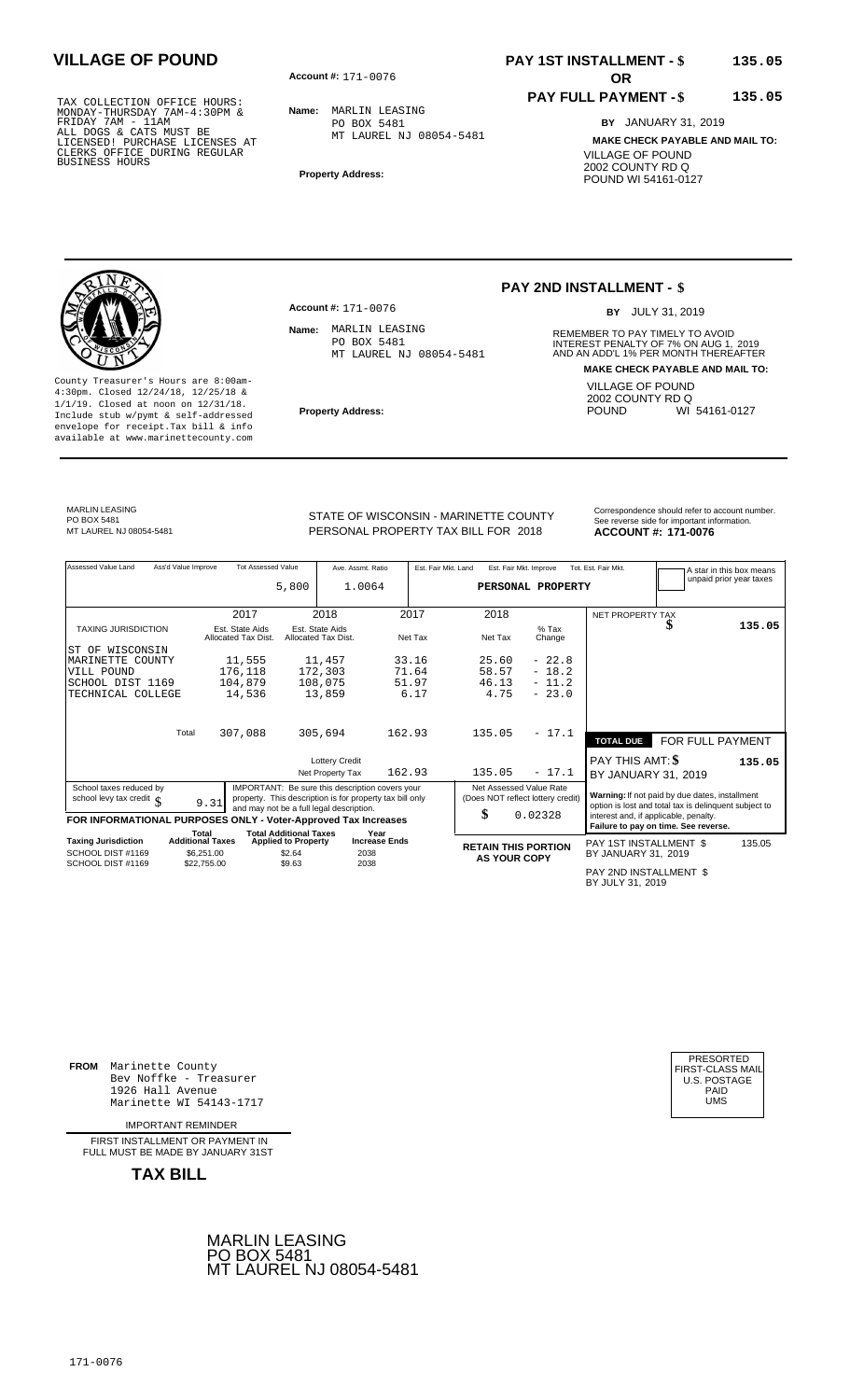**Account #: OR** 171-0076

**Name:** MARLIN LEASING PO BOX 5481 MT LAUREL NJ 08054-5481

**Property Address:**

## **PAY 1ST INSTALLMENT - \$ VILLAGE OF POUND 135.05**

### **PAY FULL PAYMENT - \$**

**BY** JANUARY 31, 2019 **MAKE CHECK PAYABLE AND MAIL TO:** VILLAGE OF POUND 2002 COUNTY RD Q POUND WI 54161-0127

**135.05**

County Treasurer's Hours are 8:00am-4:30pm. Closed 12/24/18, 12/25/18 & 1/1/19. Closed at noon on 12/31/18. **Property Address:** Include stub w/pymt & self-addressed envelope for receipt.Tax bill & info available at www.marinettecounty.com

**Account #: 171-0076** Name: MARLIN LEASING

PO BOX 5481 MT LAUREL NJ 08054-5481

## **PAY 2ND INSTALLMENT - \$**

BY JULY 31, 2019

**Name:** REMEMBER TO PAY TIMELY TO AVOID INTEREST PENALTY OF 7% ON AUG 1, 2019<br>AND AN ADD'L 1% PER MONTH THEREAFTER **MAKE CHECK PAYABLE AND MAIL TO:** VILLAGE OF POUND 2002 COUNTY RD Q<br>POUND WI WI 54161-0127

# MARLIN LEASING PO BOX 5481<br>MT LAUREL NJ 08054-5481

STATE OF WISCONSIN - MARINETTE COUNTY<br>
See reverse side for important information.<br>
PERSONAL PROPERTY TAX BILL FOR 2018<br> **ACCOUNT #: 171-0076** MT LAUREL NJ 08054-5481 **171-0076** PERSONAL PROPERTY TAX BILL FOR 2018 **ACCOUNT #: 171-0076** 

Assessed Value Land Ass'd Value Improve Tot Assessed Value Ave. Assmt. Ratio Est. Fair Mkt. Land Est. Fair Mkt. Improve Tot. Est. Fair Mkt. A star in this box means<br>unpaid prior year taxes **PERSONAL PROPERTY** NET PROPERTY TAX TAXING JURISDICTION Est. State Aids Est. State Aids % Tax **\$** Allocated Tax Dist. Allocated Tax Dist. Net Tax Net Tax Change Total **TOTAL DUE** FOR FULL PAYMENT Lottery Credit<br>Net Property Tax 162.93 135.05 - 17.1 BY JANUARY 31, Net Property Tax BY JANUARY 31, 162.93 135.05 - 17.1 2019 School taxes reduced by<br>
school levy tax credit \$\been general to be a full legal description is for property tax bill only<br>
FOR INFORMATIONAL PURPOSES ONLY - Voter-Approved Tax Increases<br>
FOR INFORMATIONAL PURPOSES ONLY -Total Total Additional Taxes Year<br>Taxing Jurisdiction Additional Taxes Applied to Property Increase Ends **Taxing Jurisdiction and Additional Taxes Applied to Property Increase Ends <b>RETAIN THIS PORTION** PAY 1ST INSTALLMENT \$ BY JANUARY 31, **AS YOUR COPY** 2019 5,800 1.0064 2017 2018 2017 2018  **135.05** ST OF WISCONSIN MARINETTE COUNTY VILL POUND SCHOOL DIST 1169 TECHNICAL COLLEGE 11,555 176,118 104,879 14,536 11,457 172,303 108,075 13,859 33.16 71.64 51.97 6.17 25.60 58.57 46.13 4.75 - 22.8 - 18.2 - 11.2  $-23.0$ 307,088 305,694 162.93 135.05 - 17.1 **135.05** 0.02328 135.05 SCHOOL DIST #1169 SCHOOL DIST #1169 \$6,251.00  $$22,755.00$  \$2.64  $$9.63$ 2038 2038

PAY 2ND INSTALLMENT \$ BY JULY 31, 2019

**FROM** Marinette County Bev Noffke - Treasurer 1926 Hall Avenue Marinette WI 54143-1717

IMPORTANT REMINDER

FIRST INSTALL MENT OR PAYMENT IN FULL MUST BE MADE BY JANUARY 31ST



| PRESORTED           |
|---------------------|
| FIRST-CLASS MAIL    |
|                     |
| <b>U.S. POSTAGE</b> |
| PAID                |
| UMS                 |
|                     |
|                     |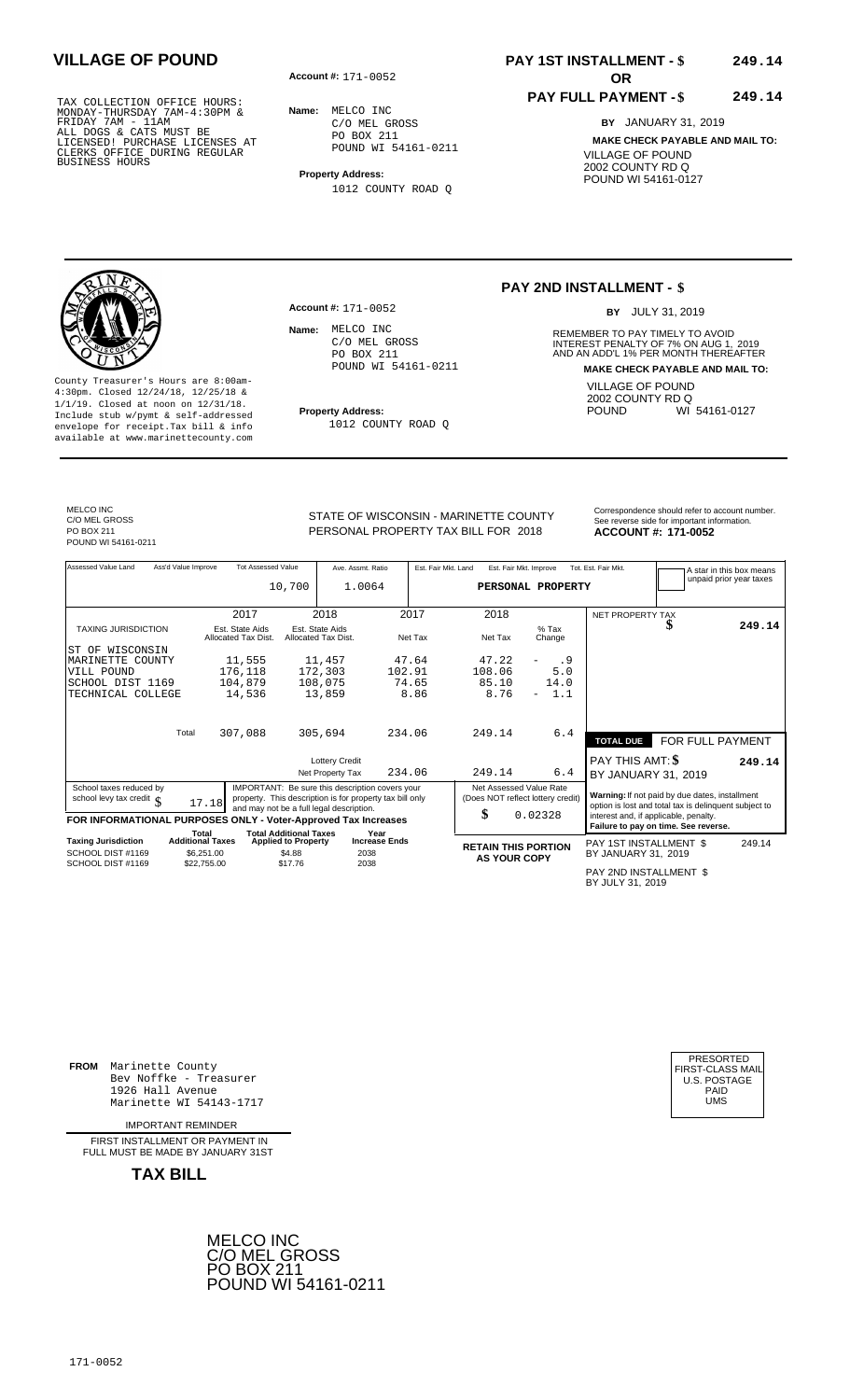**Account #: OR** 171-0052

**Account #:** 171-0052

Name: MELCO INC

**Name:** MELCO INC C/O MEL GROSS PO BOX 211 POUND WI 54161-0211

**Property Address:** 1012 COUNTY ROAD Q

> C/O MEL GROSS PO BOX 211

POUND WI 54161-0211

1012 COUNTY ROAD Q

# **PAY 1ST INSTALLMENT - \$ VILLAGE OF POUND 249.14**

### **PAY FULL PAYMENT - \$ 249.14**

**BY** JANUARY 31, 2019 **MAKE CHECK PAYABLE AND MAIL TO:** VILLAGE OF POUND 2002 COUNTY RD Q POUND WI 54161-0127

# **PAY 2ND INSTALLMENT - \$**

BY JULY 31, 2019

**Name:** REMEMBER TO PAY TIMELY TO AVOID INTEREST PENALTY OF 7% ON AUG 1, 2019<br>AND AN ADD'L 1% PER MONTH THEREAFTER **MAKE CHECK PAYABLE AND MAIL TO:** VILLAGE OF POUND 2002 COUNTY RD Q<br>POUND WI WI 54161-0127

County Treasurer's Hours are 8:00am-4:30pm. Closed 12/24/18, 12/25/18 & 1/1/19. Closed at noon on 12/31/18. **Property Address:** Include stub w/pymt & self-addressed envelope for receipt.Tax bill & info available at www.marinettecounty.com

MELCO INC C/O MEL GROSS PO BOX 211 POUND WI 54161-0211

STATE OF WISCONSIN - MARINETTE COUNTY<br>See reverse side for important information PERSONAL PROPERTY TAX BILL FOR 2018

**ACCOUNT #: 171-0052** 

| Assessed Value Land                                            | Ass'd Value Improve              | <b>Tot Assessed Value</b>              |                                                             | Ave. Assmt. Ratio                                        |                              |         | Est. Fair Mkt. Land | Est. Fair Mkt. Improve            |                   | Tot. Est. Fair Mkt.                        |                                                                                                         | A star in this box means<br>unpaid prior year taxes |
|----------------------------------------------------------------|----------------------------------|----------------------------------------|-------------------------------------------------------------|----------------------------------------------------------|------------------------------|---------|---------------------|-----------------------------------|-------------------|--------------------------------------------|---------------------------------------------------------------------------------------------------------|-----------------------------------------------------|
|                                                                |                                  |                                        | 10,700                                                      | 1.0064                                                   |                              |         |                     |                                   | PERSONAL PROPERTY |                                            |                                                                                                         |                                                     |
|                                                                |                                  |                                        |                                                             |                                                          |                              |         |                     |                                   |                   |                                            |                                                                                                         |                                                     |
|                                                                |                                  | 2017                                   |                                                             | 2018                                                     |                              | 2017    |                     | 2018                              |                   | <b>NET PROPERTY TAX</b>                    |                                                                                                         |                                                     |
| <b>TAXING JURISDICTION</b>                                     |                                  | Est. State Aids<br>Allocated Tax Dist. |                                                             | Est. State Aids<br>Allocated Tax Dist.                   |                              | Net Tax |                     | Net Tax                           | $%$ Tax<br>Change |                                            |                                                                                                         | 249.14                                              |
| WISCONSIN<br>ST OF                                             |                                  |                                        |                                                             |                                                          |                              |         |                     |                                   |                   |                                            |                                                                                                         |                                                     |
| MARINETTE COUNTY                                               |                                  | 11,555                                 |                                                             | 11,457                                                   |                              | 47.64   |                     | 47.22                             | . 9               |                                            |                                                                                                         |                                                     |
| VILL POUND                                                     |                                  | 176,118                                |                                                             | 172,303                                                  | 102.91                       |         |                     | 108.06                            | 5.0               |                                            |                                                                                                         |                                                     |
| SCHOOL DIST 1169                                               |                                  | 104,879                                |                                                             | 108,075                                                  |                              | 74.65   |                     | 85.10                             | 14.0              |                                            |                                                                                                         |                                                     |
| TECHNICAL COLLEGE                                              |                                  | 14,536                                 |                                                             | 13,859                                                   |                              | 8.86    |                     | 8.76                              | 1.1               |                                            |                                                                                                         |                                                     |
|                                                                |                                  |                                        |                                                             |                                                          |                              |         |                     |                                   |                   |                                            |                                                                                                         |                                                     |
|                                                                |                                  |                                        |                                                             |                                                          |                              |         |                     |                                   |                   |                                            |                                                                                                         |                                                     |
|                                                                | Total                            | 307,088                                |                                                             | 305,694                                                  |                              | 234.06  |                     | 249.14                            | 6.4               | <b>TOTAL DUE</b>                           | FOR FULL PAYMENT                                                                                        |                                                     |
|                                                                |                                  |                                        |                                                             | <b>Lottery Credit</b>                                    |                              |         |                     |                                   |                   | PAY THIS AMT: \$                           |                                                                                                         | 249.14                                              |
|                                                                |                                  |                                        |                                                             | Net Property Tax                                         |                              | 234.06  |                     | 249.14                            | 6.4               | BY JANUARY 31, 2019                        |                                                                                                         |                                                     |
| School taxes reduced by                                        |                                  |                                        |                                                             | IMPORTANT: Be sure this description covers your          |                              |         |                     | Net Assessed Value Rate           |                   |                                            |                                                                                                         |                                                     |
| school levy tax credit $\int$                                  | 17.18                            |                                        |                                                             | property. This description is for property tax bill only |                              |         |                     | (Does NOT reflect lottery credit) |                   |                                            | Warning: If not paid by due dates, installment<br>option is lost and total tax is delinquent subject to |                                                     |
|                                                                |                                  |                                        |                                                             | and may not be a full legal description.                 |                              |         |                     | \$                                | 0.02328           |                                            | interest and, if applicable, penalty.                                                                   |                                                     |
| FOR INFORMATIONAL PURPOSES ONLY - Voter-Approved Tax Increases |                                  |                                        |                                                             |                                                          |                              |         |                     |                                   |                   |                                            | Failure to pay on time. See reverse.                                                                    |                                                     |
| <b>Taxing Jurisdiction</b>                                     | Total<br><b>Additional Taxes</b> |                                        | <b>Total Additional Taxes</b><br><b>Applied to Property</b> |                                                          | Year<br><b>Increase Ends</b> |         |                     |                                   |                   | PAY 1ST INSTALLMENT \$                     |                                                                                                         | 249.14                                              |
| SCHOOL DIST #1169                                              | \$6,251.00                       |                                        | \$4.88                                                      | 2038                                                     |                              |         |                     | <b>RETAIN THIS PORTION</b>        |                   | BY JANUARY 31, 2019                        |                                                                                                         |                                                     |
| SCHOOL DIST #1169                                              | \$22,755.00                      |                                        | \$17.76                                                     | 2038                                                     |                              |         |                     | <b>AS YOUR COPY</b>               |                   |                                            |                                                                                                         |                                                     |
|                                                                |                                  |                                        |                                                             |                                                          |                              |         |                     |                                   |                   | PAY 2ND INSTALLMENT \$<br>BY JULY 31, 2019 |                                                                                                         |                                                     |

**FROM** Marinette County Bev Noffke - Treasurer 1926 Hall Avenue PAID Marinette WI 54143-1717 UMS

IMPORTANT REMINDER

FIRST INSTALLMENT OR PAYMENT IN FULL MUST BE MADE BY JANUARY 31ST



| PRESORTED        |
|------------------|
|                  |
| FIRST-CLASS MAIL |
| U.S. POSTAGE     |
| PAID             |
|                  |
| UMS              |
|                  |
|                  |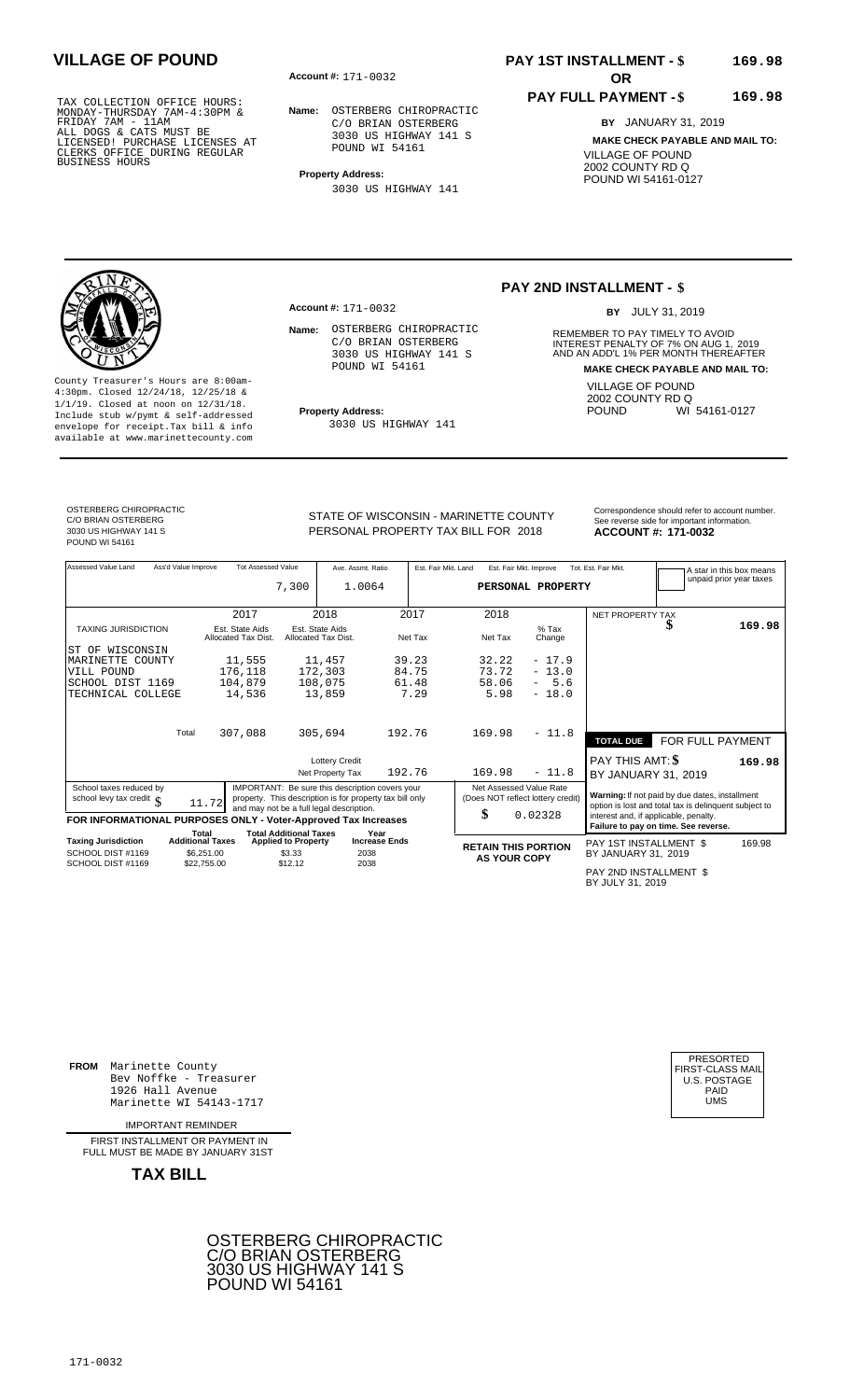**Account #: OR** 171-0032

**Name:** OSTERBERG CHIROPRACTIC C/O BRIAN OSTERBERG 3030 US HIGHWAY 141 S POUND WI 54161

**Property Address:**

**Account #:** 171-0032

3030 US HIGHWAY 141

Name: OSTERBERG CHIROPRACTIC C/O BRIAN OSTERBERG 3030 US HIGHWAY 141 S POUND WI 54161

3030 US HIGHWAY 141

## **PAY 1ST INSTALLMENT - \$ VILLAGE OF POUND 169.98**

### **PAY FULL PAYMENT - \$ 169.98**

**BY** JANUARY 31, 2019 **MAKE CHECK PAYABLE AND MAIL TO:** VILLAGE OF POUND 2002 COUNTY RD Q POUND WI 54161-0127

### **PAY 2ND INSTALLMENT - \$**

BY JULY 31, 2019

**Name:** REMEMBER TO PAY TIMELY TO AVOID INTEREST PENALTY OF 7% ON AUG 1, 2019<br>AND AN ADD'L 1% PER MONTH THEREAFTER **MAKE CHECK PAYABLE AND MAIL TO:** VILLAGE OF POUND 2002 COUNTY RD Q<br>POUND WI WI 54161-0127

4:30pm. Closed 12/24/18, 12/25/18 & 1/1/19. Closed at noon on 12/31/18. **Property Address:** Include stub w/pymt & self-addressed envelope for receipt.Tax bill & info available at www.marinettecounty.com

OSTERBERG CHIROPRACTIC C/O BRIAN OSTERBERG 3030 US HIGHWAY 141 S POUND WI 54161

County Treasurer's Hours are 8:00am-

STATE OF WISCONSIN - MARINETTE COUNTY<br>See reverse side for important information PERSONAL PROPERTY TAX BILL FOR 2018

ACCOUNT #: 171-0032

| Assessed Value Land                                            | Ass'd Value Improve              | <b>Tot Assessed Value</b>              | 7,300                                | Ave. Assmt. Ratio<br>1.0064                                                                                                                             |                      |         | Est. Fair Mkt. Land | Est. Fair Mkt. Improve  | PERSONAL PROPERTY                 | Tot. Est. Fair Mkt.                        |                                                                                                         | A star in this box means<br>unpaid prior year taxes |
|----------------------------------------------------------------|----------------------------------|----------------------------------------|--------------------------------------|---------------------------------------------------------------------------------------------------------------------------------------------------------|----------------------|---------|---------------------|-------------------------|-----------------------------------|--------------------------------------------|---------------------------------------------------------------------------------------------------------|-----------------------------------------------------|
|                                                                |                                  | 2017                                   |                                      | 2018                                                                                                                                                    |                      | 2017    |                     | 2018                    |                                   | <b>NET PROPERTY TAX</b>                    |                                                                                                         |                                                     |
| <b>TAXING JURISDICTION</b>                                     |                                  | Est. State Aids<br>Allocated Tax Dist. |                                      | Est. State Aids<br>Allocated Tax Dist.                                                                                                                  |                      | Net Tax |                     | Net Tax                 | $%$ Tax<br>Change                 |                                            | ъ                                                                                                       | 169.98                                              |
| ST OF WISCONSIN                                                |                                  |                                        |                                      |                                                                                                                                                         |                      |         |                     |                         |                                   |                                            |                                                                                                         |                                                     |
| MARINETTE COUNTY                                               |                                  | 11,555                                 |                                      | 11,457                                                                                                                                                  |                      | 39.23   |                     | 32.22                   | $-17.9$                           |                                            |                                                                                                         |                                                     |
| VILL POUND                                                     |                                  | 176,118                                |                                      | 172,303                                                                                                                                                 |                      | 84.75   |                     | 73.72                   | $-13.0$                           |                                            |                                                                                                         |                                                     |
| SCHOOL DIST 1169                                               |                                  | 104,879                                |                                      | 108,075                                                                                                                                                 |                      | 61.48   |                     | 58.06                   | $-5.6$                            |                                            |                                                                                                         |                                                     |
| TECHNICAL COLLEGE                                              |                                  | 14,536                                 |                                      | 13,859                                                                                                                                                  |                      | 7.29    |                     | 5.98                    | $-18.0$                           |                                            |                                                                                                         |                                                     |
|                                                                | Total                            | 307,088                                |                                      | 305,694                                                                                                                                                 | 192.76               |         |                     | 169.98                  | $-11.8$                           |                                            |                                                                                                         |                                                     |
|                                                                |                                  |                                        |                                      |                                                                                                                                                         |                      |         |                     |                         |                                   | <b>TOTAL DUE</b>                           | FOR FULL PAYMENT                                                                                        |                                                     |
|                                                                |                                  |                                        |                                      | <b>Lottery Credit</b>                                                                                                                                   |                      |         |                     |                         |                                   | PAY THIS AMT: \$                           |                                                                                                         | 169.98                                              |
|                                                                |                                  |                                        |                                      | Net Property Tax                                                                                                                                        | 192.76               |         |                     | 169.98                  | $-11.8$                           | BY JANUARY 31, 2019                        |                                                                                                         |                                                     |
| School taxes reduced by<br>school levy tax credit $\int$       | 11.72                            |                                        |                                      | IMPORTANT: Be sure this description covers your<br>property. This description is for property tax bill only<br>and may not be a full legal description. |                      |         |                     | Net Assessed Value Rate | (Does NOT reflect lottery credit) |                                            | Warning: If not paid by due dates, installment<br>option is lost and total tax is delinquent subject to |                                                     |
| FOR INFORMATIONAL PURPOSES ONLY - Voter-Approved Tax Increases |                                  |                                        |                                      |                                                                                                                                                         |                      |         | \$                  |                         | 0.02328                           | interest and, if applicable, penalty.      | Failure to pay on time. See reverse.                                                                    |                                                     |
|                                                                | Total<br><b>Additional Taxes</b> |                                        | <b>Total Additional Taxes</b>        |                                                                                                                                                         | Year                 |         |                     |                         |                                   |                                            |                                                                                                         |                                                     |
| Taxing Jurisdiction<br>SCHOOL DIST #1169                       |                                  |                                        | <b>Applied to Property</b><br>\$3.33 | 2038                                                                                                                                                    | <b>Increase Ends</b> |         |                     |                         | <b>RETAIN THIS PORTION</b>        | PAY 1ST INSTALLMENT \$                     |                                                                                                         | 169.98                                              |
| SCHOOL DIST #1169                                              | \$6,251,00<br>\$22,755.00        |                                        | \$12.12                              | 2038                                                                                                                                                    |                      |         |                     | <b>AS YOUR COPY</b>     |                                   | BY JANUARY 31, 2019                        |                                                                                                         |                                                     |
|                                                                |                                  |                                        |                                      |                                                                                                                                                         |                      |         |                     |                         |                                   | PAY 2ND INSTALLMENT \$<br>BY JULY 31, 2019 |                                                                                                         |                                                     |

**FROM** Marinette County Bev Noffke - Treasurer (U.S. POSTAGE)<br>1926 Hall Avenue (U.S. POSTAGE)<br>Marinette WI 54143-1717 (UMS 1926 Hall Avenue PAID Marinette WI 54143-1717 UMS

IMPORTANT REMINDER

FIRST INSTALL MENT OR PAYMENT IN FULL MUST BE MADE BY JANUARY 31ST

**TAX BILL**





171-0032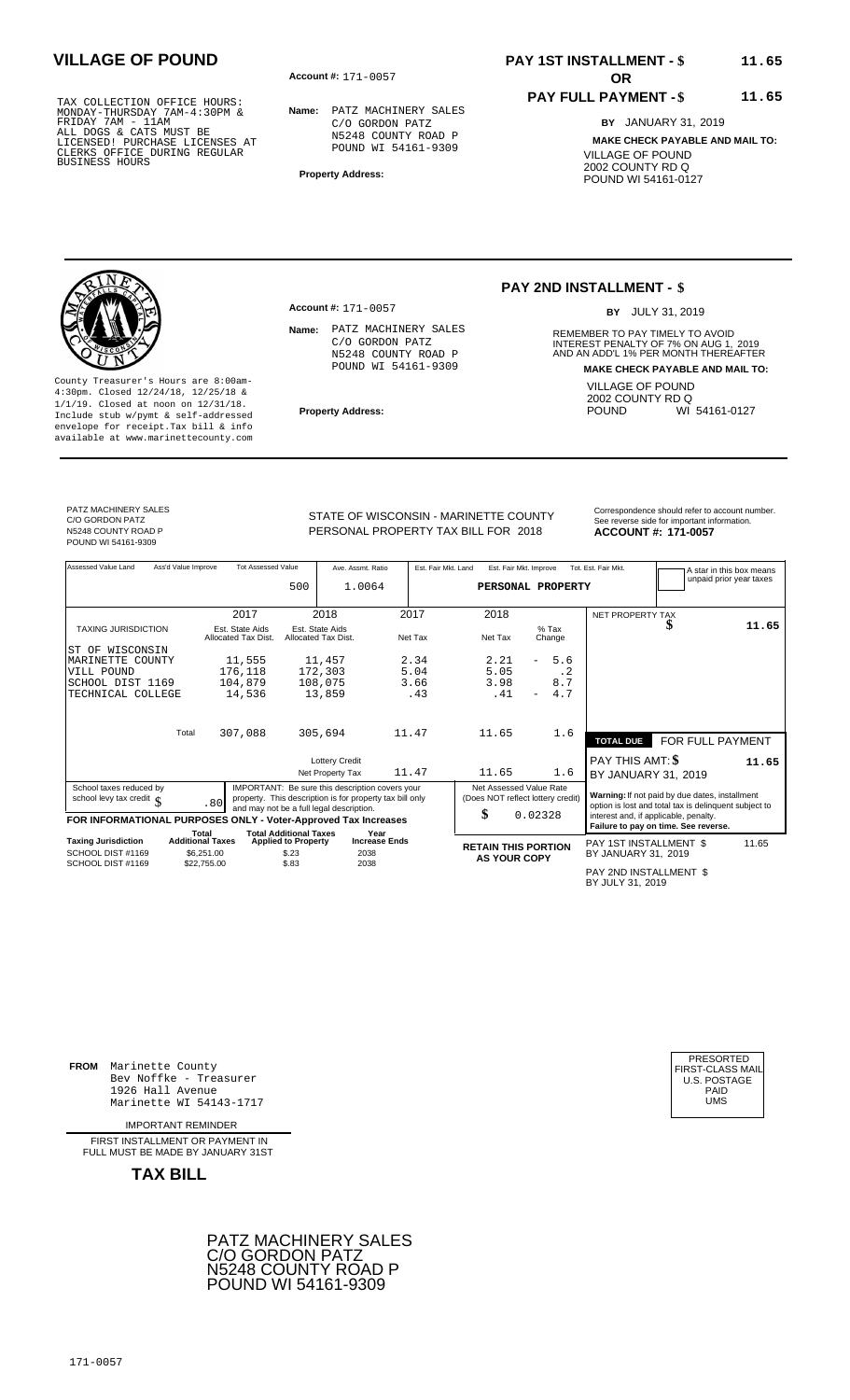**Account #: OR** 171-0057

**Name:** PATZ MACHINERY SALES C/O GORDON PATZ N5248 COUNTY ROAD P POUND WI 54161-9309

**Property Address:**

**Account #: 171-0057** 

Name: PATZ MACHINERY SALES C/O GORDON PATZ N5248 COUNTY ROAD P POUND WI 54161-9309

# **PAY 1ST INSTALLMENT - \$ VILLAGE OF POUND 11.65**

### **PAY FULL PAYMENT - \$**

**BY** JANUARY 31, 2019

**MAKE CHECK PAYABLE AND MAIL TO:** VILLAGE OF POUND 2002 COUNTY RD Q POUND WI 54161-0127

**11.65**

### **PAY 2ND INSTALLMENT - \$**

BY JULY 31, 2019

**Name:** REMEMBER TO PAY TIMELY TO AVOID INTEREST PENALTY OF 7% ON AUG 1, 2019<br>AND AN ADD'L 1% PER MONTH THEREAFTER **MAKE CHECK PAYABLE AND MAIL TO:** VILLAGE OF POUND 2002 COUNTY RD Q<br>POUND WI WI 54161-0127

County Treasurer's Hours are 8:00am-4:30pm. Closed 12/24/18, 12/25/18 & 1/1/19. Closed at noon on 12/31/18. **Property Address:** Include stub w/pymt & self-addressed envelope for receipt.Tax bill & info available at www.marinettecounty.com

PATZ MACHINERY SALES C/O GORDON PATZ N5248 COUNTY ROAD P POUND WI 54161-9309

PERSONAL PROPERTY TAX BILL FOR 2018

STATE OF WISCONSIN - MARINETTE COUNTY<br>See reverse side for important information **ACCOUNT #: 171-0057** 

| Assessed Value Land                                            | Ass'd Value Improve | <b>Tot Assessed Value</b>              | 500                                                         | Ave. Assmt. Ratio<br>1.0064                                                                                                                             |       | Est. Fair Mkt. Land | Est. Fair Mkt. Improve<br>PERSONAL PROPERTY                        |         |           | Tot. Est. Fair Mkt.                                                                                     |                  | A star in this box means<br>unpaid prior year taxes |
|----------------------------------------------------------------|---------------------|----------------------------------------|-------------------------------------------------------------|---------------------------------------------------------------------------------------------------------------------------------------------------------|-------|---------------------|--------------------------------------------------------------------|---------|-----------|---------------------------------------------------------------------------------------------------------|------------------|-----------------------------------------------------|
|                                                                |                     | 2017                                   |                                                             | 2018                                                                                                                                                    |       | 2017                | 2018                                                               |         |           | <b>NET PROPERTY TAX</b>                                                                                 |                  |                                                     |
| <b>TAXING JURISDICTION</b>                                     |                     | Est. State Aids<br>Allocated Tax Dist. |                                                             | Est. State Aids<br>Allocated Tax Dist.                                                                                                                  |       | Net Tax             | Net Tax                                                            | $%$ Tax | Change    |                                                                                                         | S                | 11.65                                               |
| ST OF WISCONSIN                                                |                     |                                        |                                                             |                                                                                                                                                         |       |                     |                                                                    |         |           |                                                                                                         |                  |                                                     |
| MARINETTE<br>COUNTY                                            |                     | 11,555                                 |                                                             | 11,457                                                                                                                                                  |       | 2.34                | 2.21                                                               |         | 5.6       |                                                                                                         |                  |                                                     |
| VILL POUND                                                     |                     | 176,118                                |                                                             | 172,303                                                                                                                                                 |       | 5.04                | 5.05                                                               |         | $\cdot$ 2 |                                                                                                         |                  |                                                     |
| SCHOOL DIST 1169                                               |                     | 104,879                                |                                                             | 108,075                                                                                                                                                 |       | 3.66                | 3.98                                                               |         | 8.7       |                                                                                                         |                  |                                                     |
| TECHNICAL COLLEGE                                              |                     | 14,536                                 |                                                             | 13,859                                                                                                                                                  |       | .43                 | .41                                                                |         | 4.7       |                                                                                                         |                  |                                                     |
|                                                                | Total               | 307,088                                |                                                             | 305,694                                                                                                                                                 | 11.47 |                     | 11.65                                                              |         | 1.6       | <b>TOTAL DUE</b>                                                                                        | FOR FULL PAYMENT |                                                     |
|                                                                |                     |                                        |                                                             | <b>Lottery Credit</b>                                                                                                                                   |       |                     |                                                                    |         |           | PAY THIS AMT: \$                                                                                        |                  | 11.65                                               |
|                                                                |                     |                                        |                                                             | Net Property Tax                                                                                                                                        | 11.47 |                     | 11.65                                                              |         | 1.6       | BY JANUARY 31, 2019                                                                                     |                  |                                                     |
| School taxes reduced by<br>school levy tax credit $\int$       |                     | .80                                    |                                                             | IMPORTANT: Be sure this description covers your<br>property. This description is for property tax bill only<br>and may not be a full legal description. |       |                     | Net Assessed Value Rate<br>(Does NOT reflect lottery credit)<br>\$ |         |           | Warning: If not paid by due dates, installment<br>option is lost and total tax is delinquent subject to |                  |                                                     |
| FOR INFORMATIONAL PURPOSES ONLY - Voter-Approved Tax Increases |                     |                                        |                                                             |                                                                                                                                                         |       |                     |                                                                    | 0.02328 |           | interest and, if applicable, penalty.<br>Failure to pay on time. See reverse.                           |                  |                                                     |
| Taxing Jurisdiction                                            |                     | Total<br><b>Additional Taxes</b>       | <b>Total Additional Taxes</b><br><b>Applied to Property</b> | Year<br><b>Increase Ends</b>                                                                                                                            |       |                     | <b>RETAIN THIS PORTION</b>                                         |         |           | PAY 1ST INSTALLMENT \$                                                                                  |                  | 11.65                                               |
| SCHOOL DIST #1169<br>SCHOOL DIST #1169                         |                     | \$6,251,00                             | \$.23<br>\$.83                                              | 2038<br>2038                                                                                                                                            |       |                     | <b>AS YOUR COPY</b>                                                |         |           | BY JANUARY 31, 2019                                                                                     |                  |                                                     |
|                                                                |                     | \$22,755.00                            |                                                             |                                                                                                                                                         |       |                     |                                                                    |         |           | PAY 2ND INSTALLMENT \$<br>BY JULY 31, 2019                                                              |                  |                                                     |

**FROM** Marinette County Bev Noffke - Treasurer (U.S. POSTAGE)<br>1926 Hall Avenue (U.S. POSTAGE)<br>Marinette WI 54143-1717 (UMS 1926 Hall Avenue PAID Marinette WI 54143-1717 UMS

IMPORTANT REMINDER

FIRST INSTALL MENT OR PAYMENT IN FULL MUST BE MADE BY JANUARY 31ST



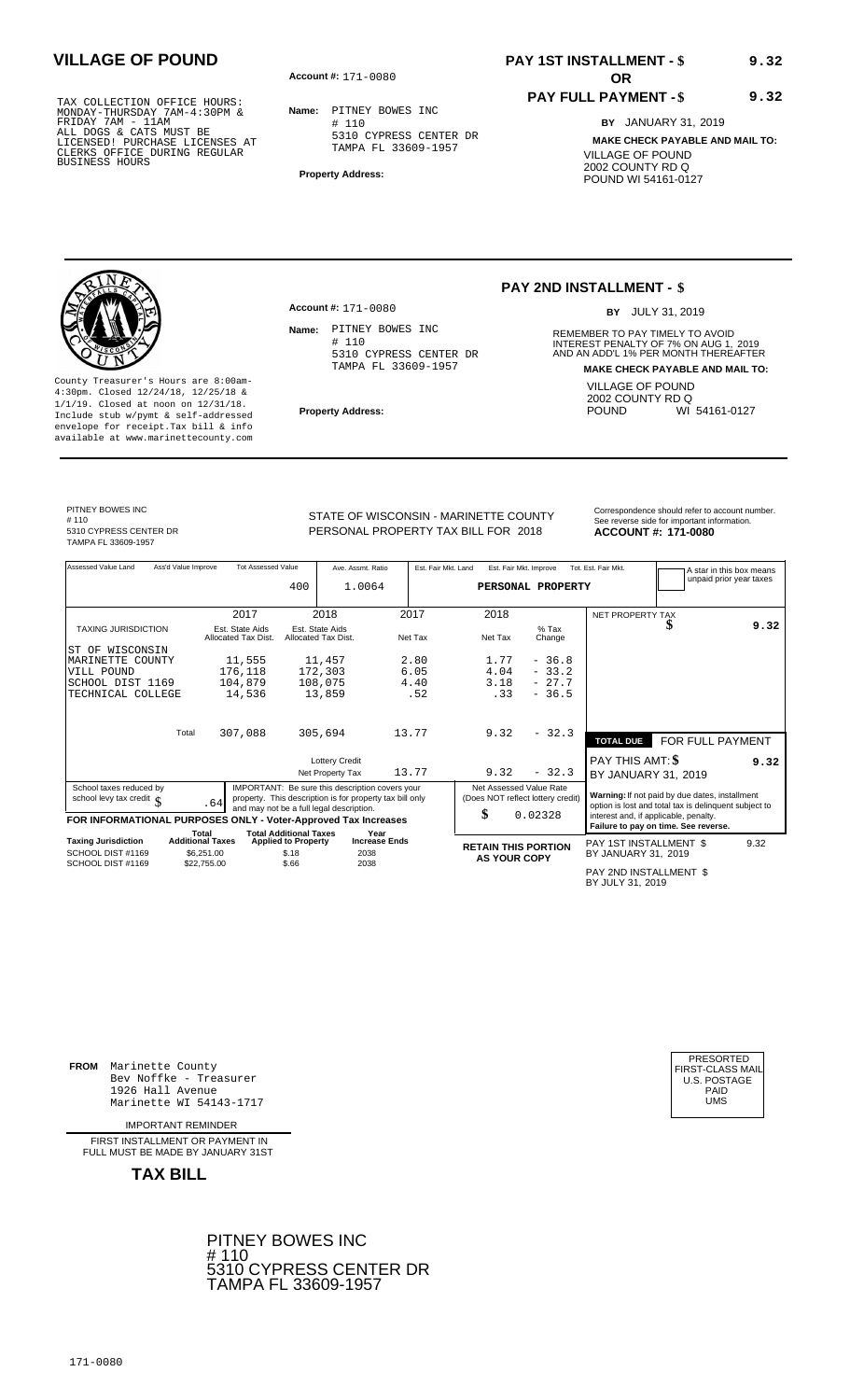**Account #: OR** 171-0080

**Name:** PITNEY BOWES INC # 110 5310 CYPRESS CENTER DR TAMPA FL 33609-1957

**Property Address:**

# **PAY 1ST INSTALLMENT - \$ VILLAGE OF POUND 9.32**

### **PAY FULL PAYMENT - \$ 9.32**

**BY** JANUARY 31, 2019 **MAKE CHECK PAYABLE AND MAIL TO:** VILLAGE OF POUND 2002 COUNTY RD Q POUND WI 54161-0127

# 110

5310 CYPRESS CENTER DR TAMPA FL 33609-1957

County Treasurer's Hours are 8:00am-4:30pm. Closed 12/24/18, 12/25/18 & 1/1/19. Closed at noon on 12/31/18. **Property Address:** Include stub w/pymt & self-addressed envelope for receipt.Tax bill & info available at www.marinettecounty.com

Name: PITNEY BOWES INC # 110

**Account #:** 171-0080

5310 CYPRESS CENTER DR TAMPA FL 33609-1957

### **PAY 2ND INSTALLMENT - \$**

BY JULY 31, 2019

**Name:** REMEMBER TO PAY TIMELY TO AVOID INTEREST PENALTY OF 7% ON AUG 1, 2019<br>AND AN ADD'L 1% PER MONTH THEREAFTER **MAKE CHECK PAYABLE AND MAIL TO:** VILLAGE OF POUND 2002 COUNTY RD Q<br>POUND WI WI 54161-0127

PITNEY BOWES INC

STATE OF WISCONSIN - MARINETTE COUNTY<br>See reverse side for important information PERSONAL PROPERTY TAX BILL FOR 2018

**ACCOUNT #: 171-0080** 

| Assessed Value Land                                            | Ass'd Value Improve              | <b>Tot Assessed Value</b>              | 400                                                         | Ave. Assmt. Ratio<br>1.0064                                                                                                                             |                      | Est. Fair Mkt. Land |                                                   | Est. Fair Mkt. Improve<br>PERSONAL PROPERTY                  | Tot. Est. Fair Mkt.                                                                                     |                  | A star in this box means<br>unpaid prior year taxes |
|----------------------------------------------------------------|----------------------------------|----------------------------------------|-------------------------------------------------------------|---------------------------------------------------------------------------------------------------------------------------------------------------------|----------------------|---------------------|---------------------------------------------------|--------------------------------------------------------------|---------------------------------------------------------------------------------------------------------|------------------|-----------------------------------------------------|
|                                                                |                                  | 2017                                   |                                                             | 2018                                                                                                                                                    |                      | 2017                | 2018                                              |                                                              | NET PROPERTY TAX                                                                                        |                  |                                                     |
| <b>TAXING JURISDICTION</b>                                     |                                  | Est. State Aids<br>Allocated Tax Dist. |                                                             | Est. State Aids<br>Allocated Tax Dist.                                                                                                                  |                      | Net Tax             | Net Tax                                           | $%$ Tax<br>Change                                            |                                                                                                         | J                | 9.32                                                |
| WISCONSIN<br>ST OF                                             |                                  |                                        |                                                             |                                                                                                                                                         |                      |                     |                                                   |                                                              |                                                                                                         |                  |                                                     |
| MARINETTE COUNTY                                               |                                  | 11,555                                 |                                                             | 11,457                                                                                                                                                  |                      | 2.80                | 1.77                                              | $-36.8$                                                      |                                                                                                         |                  |                                                     |
| VILL POUND                                                     |                                  | 176,118                                |                                                             | 172,303                                                                                                                                                 |                      | 6.05                | 4.04                                              | $-33.2$                                                      |                                                                                                         |                  |                                                     |
| SCHOOL DIST 1169                                               |                                  | 104,879                                |                                                             | 108,075                                                                                                                                                 |                      | 4.40                | 3.18                                              | $-27.7$                                                      |                                                                                                         |                  |                                                     |
| TECHNICAL COLLEGE                                              |                                  | 14,536                                 |                                                             | 13,859                                                                                                                                                  |                      | .52                 | .33                                               | $-36.5$                                                      |                                                                                                         |                  |                                                     |
|                                                                | Total                            | 307,088                                |                                                             | 305,694                                                                                                                                                 | 13.77                |                     | 9.32                                              | $-32.3$                                                      | <b>TOTAL DUE</b>                                                                                        | FOR FULL PAYMENT |                                                     |
|                                                                |                                  |                                        |                                                             | <b>Lottery Credit</b>                                                                                                                                   |                      |                     |                                                   |                                                              | PAY THIS AMT: \$                                                                                        |                  | 9.32                                                |
|                                                                |                                  |                                        |                                                             | Net Property Tax                                                                                                                                        | 13.77                |                     | 9.32                                              | $-32.3$                                                      | BY JANUARY 31, 2019                                                                                     |                  |                                                     |
| School taxes reduced by<br>school levy tax credit $\int$       |                                  | .64                                    |                                                             | IMPORTANT: Be sure this description covers your<br>property. This description is for property tax bill only<br>and may not be a full legal description. |                      |                     |                                                   | Net Assessed Value Rate<br>(Does NOT reflect lottery credit) | Warning: If not paid by due dates, installment<br>option is lost and total tax is delinquent subject to |                  |                                                     |
| FOR INFORMATIONAL PURPOSES ONLY - Voter-Approved Tax Increases |                                  |                                        |                                                             |                                                                                                                                                         |                      |                     | \$                                                | 0.02328                                                      | interest and, if applicable, penalty.<br>Failure to pay on time. See reverse.                           |                  |                                                     |
| <b>Taxing Jurisdiction</b>                                     | Total<br><b>Additional Taxes</b> |                                        | <b>Total Additional Taxes</b><br><b>Applied to Property</b> | Year                                                                                                                                                    | <b>Increase Ends</b> |                     |                                                   |                                                              | PAY 1ST INSTALLMENT \$                                                                                  |                  | 9.32                                                |
| SCHOOL DIST #1169                                              | \$6.251.00                       |                                        | \$.18                                                       | 2038                                                                                                                                                    |                      |                     | <b>RETAIN THIS PORTION</b><br><b>AS YOUR COPY</b> |                                                              | BY JANUARY 31, 2019                                                                                     |                  |                                                     |
| SCHOOL DIST #1169                                              | \$22,755.00                      |                                        | \$.66                                                       | 2038                                                                                                                                                    |                      |                     |                                                   |                                                              | PAY 2ND INSTALLMENT \$<br>BY JULY 31, 2019                                                              |                  |                                                     |

**FROM** Marinette County Bev Noffke - Treasurer 1926 Hall Avenue PAID Marinette WI 54143-1717 UMS

IMPORTANT REMINDER

FIRST INSTALLMENT OR PAYMENT IN FULL MUST BE MADE BY JANUARY 31ST

**TAX BILL**

PITNEY BOWES INC # 110 5310 CYPRESS CENTER DR TAMPA FL 33609-1957

| PRESORTED        |
|------------------|
| FIRST-CLASS MAIL |
| U.S. POSTAGE     |
| PAID             |
| UMS              |
|                  |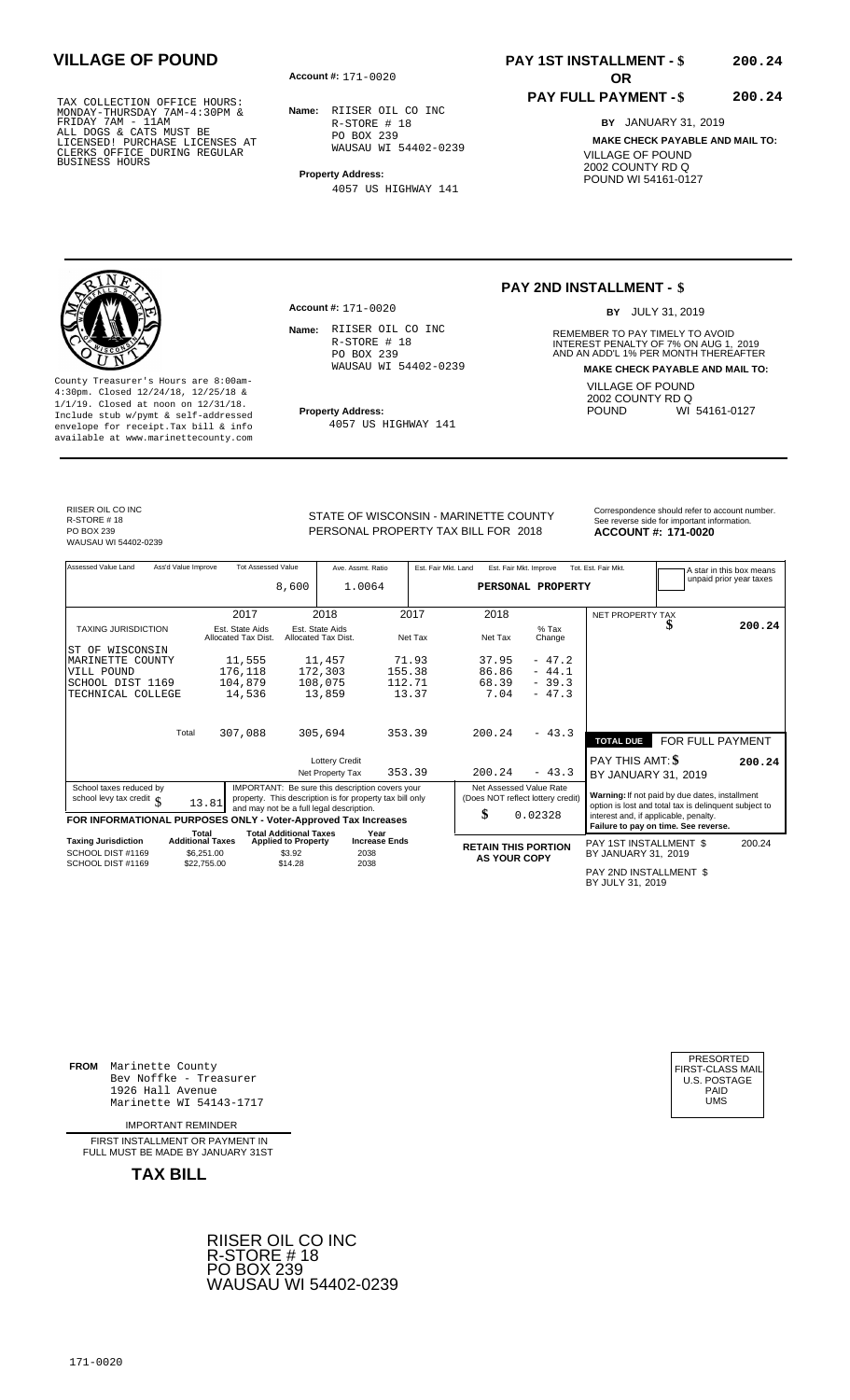**Account #: OR** 171-0020

**Name:** RIISER OIL CO INC R-STORE # 18 PO BOX 239 WAUSAU WI 54402-0239

**Property Address:**

4057 US HIGHWAY 141

### **PAY 1ST INSTALLMENT - \$ VILLAGE OF POUND 200.24**

### **PAY FULL PAYMENT - \$**

**BY** JANUARY 31, 2019

**200.24**

**MAKE CHECK PAYABLE AND MAIL TO:** VILLAGE OF POUND 2002 COUNTY RD Q POUND WI 54161-0127

County Treasurer's Hours are 8:00am-4:30pm. Closed 12/24/18, 12/25/18 & 1/1/19. Closed at noon on 12/31/18. **Property Address:** Include stub w/pymt & self-addressed envelope for receipt.Tax bill & info available at www.marinettecounty.com

**Account #:** 171-0020

Name: RIISER OIL CO INC R-STORE # 18 PO BOX 239 WAUSAU WI 54402-0239

4057 US HIGHWAY 141

### **PAY 2ND INSTALLMENT - \$**

BY JULY 31, 2019

**Name:** REMEMBER TO PAY TIMELY TO AVOID INTEREST PENALTY OF 7% ON AUG 1, 2019<br>AND AN ADD'L 1% PER MONTH THEREAFTER **MAKE CHECK PAYABLE AND MAIL TO:** VILLAGE OF POUND 2002 COUNTY RD Q<br>POUND WI WI 54161-0127

RIISER OIL CO INC R-STORE # 18 PO BOX 239 WAUSAU WI 54402-0239

PERSONAL PROPERTY TAX BILL FOR 2018

STATE OF WISCONSIN - MARINETTE COUNTY<br>See reverse side for important information **ACCOUNT #: 171-0020** 

| Assessed Value Land                                            | Ass'd Value Improve       | <b>Tot Assessed Value</b>              |                               | Ave. Assmt. Ratio                                                                                                                                       |                      | Est. Fair Mkt. Land | Est. Fair Mkt. Improve                                       |                   | Tot. Est. Fair Mkt.                        |                                                                                                         | A star in this box means |
|----------------------------------------------------------------|---------------------------|----------------------------------------|-------------------------------|---------------------------------------------------------------------------------------------------------------------------------------------------------|----------------------|---------------------|--------------------------------------------------------------|-------------------|--------------------------------------------|---------------------------------------------------------------------------------------------------------|--------------------------|
|                                                                |                           |                                        | 8,600                         | 1.0064                                                                                                                                                  |                      |                     | PERSONAL PROPERTY                                            |                   |                                            |                                                                                                         | unpaid prior year taxes  |
|                                                                |                           |                                        |                               |                                                                                                                                                         |                      |                     |                                                              |                   |                                            |                                                                                                         |                          |
|                                                                |                           | 2017                                   |                               | 2018                                                                                                                                                    |                      | 2017                | 2018                                                         |                   | NET PROPERTY TAX                           |                                                                                                         |                          |
| <b>TAXING JURISDICTION</b>                                     |                           | Est. State Aids<br>Allocated Tax Dist. |                               | Est. State Aids<br>Allocated Tax Dist.                                                                                                                  |                      | Net Tax             | Net Tax                                                      | $%$ Tax<br>Change |                                            |                                                                                                         | 200.24                   |
| ST OF WISCONSIN                                                |                           |                                        |                               |                                                                                                                                                         |                      |                     |                                                              |                   |                                            |                                                                                                         |                          |
| MARINETTE COUNTY                                               |                           | 11,555                                 |                               | 11,457                                                                                                                                                  |                      | 71.93               | 37.95                                                        | $-47.2$           |                                            |                                                                                                         |                          |
| VILL POUND                                                     |                           | 176,118                                |                               | 172,303                                                                                                                                                 | 155.38               |                     | 86.86                                                        | $-44.1$           |                                            |                                                                                                         |                          |
| SCHOOL DIST 1169                                               |                           | 104,879                                |                               | 108,075                                                                                                                                                 | 112.71               |                     | 68.39                                                        | $-39.3$           |                                            |                                                                                                         |                          |
| TECHNICAL COLLEGE                                              |                           | 14,536                                 |                               | 13,859                                                                                                                                                  |                      | 13.37               | 7.04                                                         | $-47.3$           |                                            |                                                                                                         |                          |
|                                                                | Total                     | 307,088                                |                               | 305,694                                                                                                                                                 | 353.39               |                     | 200.24                                                       | $-43.3$           |                                            |                                                                                                         |                          |
|                                                                |                           |                                        |                               |                                                                                                                                                         |                      |                     |                                                              |                   | <b>TOTAL DUE</b>                           | FOR FULL PAYMENT                                                                                        |                          |
|                                                                |                           |                                        |                               | <b>Lottery Credit</b>                                                                                                                                   |                      |                     |                                                              |                   | <b>PAY THIS AMT: \$</b>                    |                                                                                                         | 200.24                   |
|                                                                |                           |                                        |                               | Net Property Tax                                                                                                                                        | 353.39               |                     | 200.24                                                       | $-43.3$           | BY JANUARY 31, 2019                        |                                                                                                         |                          |
| School taxes reduced by<br>school levy tax credit $\int$       | 13.81                     |                                        |                               | IMPORTANT: Be sure this description covers your<br>property. This description is for property tax bill only<br>and may not be a full legal description. |                      |                     | Net Assessed Value Rate<br>(Does NOT reflect lottery credit) |                   |                                            | Warning: If not paid by due dates, installment<br>option is lost and total tax is delinquent subject to |                          |
| FOR INFORMATIONAL PURPOSES ONLY - Voter-Approved Tax Increases |                           |                                        |                               |                                                                                                                                                         |                      |                     | \$                                                           | 0.02328           | interest and, if applicable, penalty.      | Failure to pay on time. See reverse.                                                                    |                          |
|                                                                | Total                     |                                        | <b>Total Additional Taxes</b> |                                                                                                                                                         | Year                 |                     |                                                              |                   |                                            |                                                                                                         |                          |
| <b>Taxing Jurisdiction</b>                                     | <b>Additional Taxes</b>   |                                        | <b>Applied to Property</b>    |                                                                                                                                                         | <b>Increase Ends</b> |                     | <b>RETAIN THIS PORTION</b>                                   |                   | PAY 1ST INSTALLMENT \$                     |                                                                                                         | 200.24                   |
| SCHOOL DIST #1169<br>SCHOOL DIST #1169                         | \$6,251.00<br>\$22,755.00 |                                        | \$3.92<br>\$14.28             |                                                                                                                                                         | 2038<br>2038         |                     | <b>AS YOUR COPY</b>                                          |                   | BY JANUARY 31, 2019                        |                                                                                                         |                          |
|                                                                |                           |                                        |                               |                                                                                                                                                         |                      |                     |                                                              |                   | PAY 2ND INSTALLMENT \$<br>BY JULY 31, 2019 |                                                                                                         |                          |

**FROM** Marinette County Bev Noffke - Treasurer 1926 Hall Avenue PAID Marinette WI 54143-1717 UMS

IMPORTANT REMINDER

FIRST INSTALLMENT OR PAYMENT IN FULL MUST BE MADE BY JANUARY 31ST



| PRESORTED        |
|------------------|
| FIRST-CLASS MAIL |
| U.S. POSTAGE     |
| PAID             |
| UMS              |
|                  |
|                  |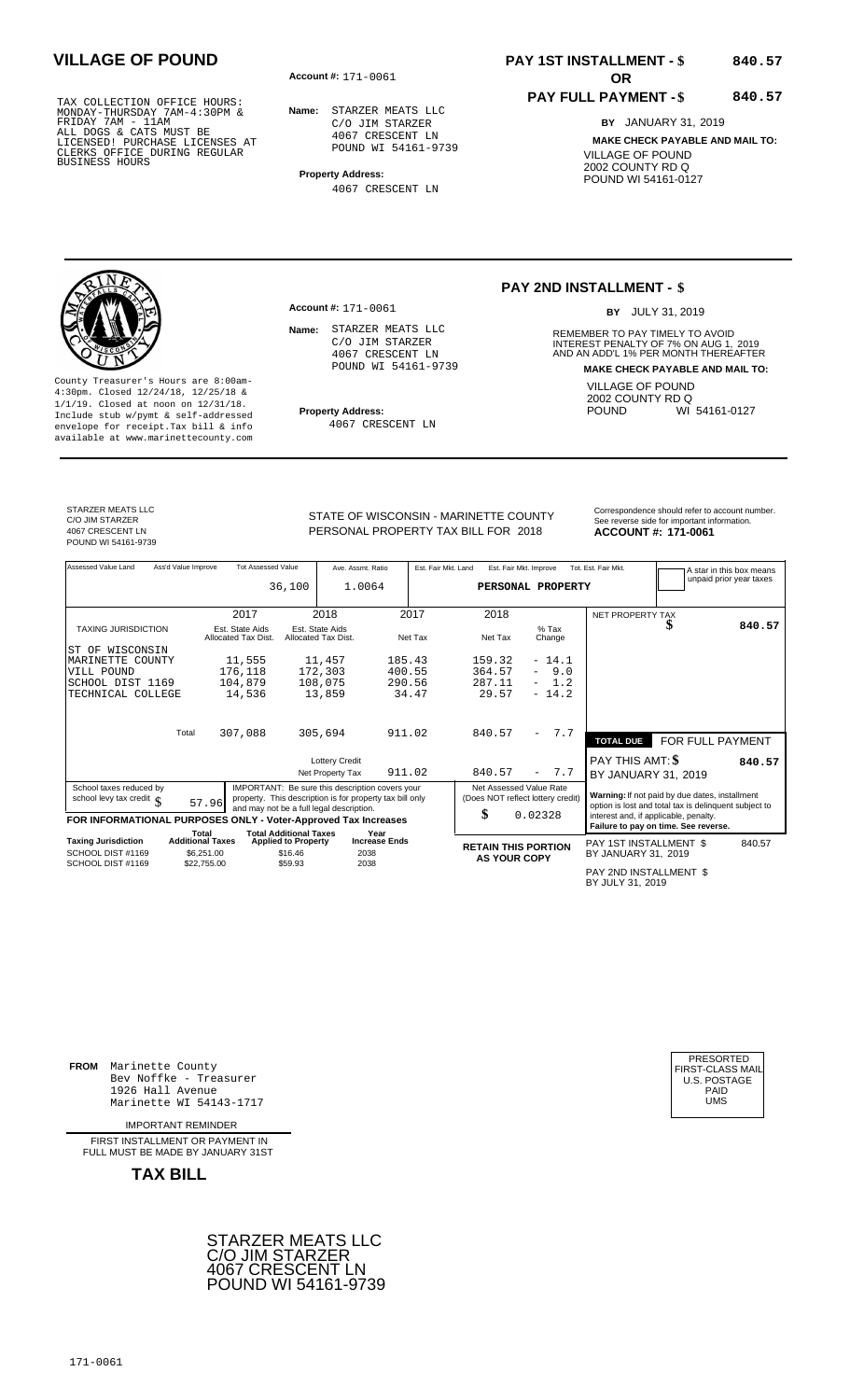**Account #: OR** 171-0061

**Name:** STARZER MEATS LLC C/O JIM STARZER 4067 CRESCENT LN POUND WI 54161-9739

**Property Address:** 4067 CRESCENT LN

**Account #:** 171-0061

Name: STARZER MEATS LLC C/O JIM STARZER 4067 CRESCENT LN POUND WI 54161-9739

4067 CRESCENT LN

# **PAY 1ST INSTALLMENT - \$** 840.57

### **PAY FULL PAYMENT - \$**

**840.57**

**BY** JANUARY 31, 2019 **MAKE CHECK PAYABLE AND MAIL TO:** VILLAGE OF POUND 2002 COUNTY RD Q POUND WI 54161-0127

### **PAY 2ND INSTALLMENT - \$**

BY JULY 31, 2019

**Name:** REMEMBER TO PAY TIMELY TO AVOID INTEREST PENALTY OF 7% ON AUG 1, 2019<br>AND AN ADD'L 1% PER MONTH THEREAFTER **MAKE CHECK PAYABLE AND MAIL TO:** VILLAGE OF POUND 2002 COUNTY RD Q<br>POUND WI WI 54161-0127

County Treasurer's Hours are 8:00am-4:30pm. Closed 12/24/18, 12/25/18 & 1/1/19. Closed at noon on 12/31/18. **Property Address:** Include stub w/pymt & self-addressed envelope for receipt.Tax bill & info available at www.marinettecounty.com

STARZER MEATS LLC C/O JIM STARZER 4067 CRESCENT LN POUND WI 54161-9739 STATE OF WISCONSIN - MARINETTE COUNTY<br>See reverse side for important information

PERSONAL PROPERTY TAX BILL FOR 2018

**ACCOUNT #: 171-0061** 

| Assessed Value Land                                            | Ass'd Value Improve |                                        | <b>Tot Assessed Value</b>                                   | Ave. Assmt. Ratio                      |                              | Est. Fair Mkt. Land | Est. Fair Mkt. Improve                            |                                 | Tot. Est. Fair Mkt.                        |                                                                                                         | A star in this box means |  |  |
|----------------------------------------------------------------|---------------------|----------------------------------------|-------------------------------------------------------------|----------------------------------------|------------------------------|---------------------|---------------------------------------------------|---------------------------------|--------------------------------------------|---------------------------------------------------------------------------------------------------------|--------------------------|--|--|
|                                                                |                     |                                        | 36,100                                                      | 1.0064                                 |                              |                     | PERSONAL PROPERTY                                 |                                 |                                            |                                                                                                         | unpaid prior year taxes  |  |  |
|                                                                |                     |                                        |                                                             |                                        |                              |                     |                                                   |                                 |                                            |                                                                                                         |                          |  |  |
|                                                                |                     | 2017                                   |                                                             | 2018                                   |                              | 2017                | 2018                                              |                                 | NET PROPERTY TAX                           |                                                                                                         |                          |  |  |
| <b>TAXING JURISDICTION</b>                                     |                     | Est. State Aids<br>Allocated Tax Dist. |                                                             | Est. State Aids<br>Allocated Tax Dist. |                              | Net Tax             | Net Tax                                           | $%$ Tax<br>Change               |                                            |                                                                                                         | 840.57                   |  |  |
| WISCONSIN<br>ST OF                                             |                     |                                        |                                                             |                                        |                              |                     |                                                   |                                 |                                            |                                                                                                         |                          |  |  |
| MARINETTE COUNTY                                               |                     | 11,555                                 |                                                             | 11,457                                 | 185.43                       |                     | 159.32                                            | $-14.1$                         |                                            |                                                                                                         |                          |  |  |
| VILL POUND                                                     |                     | 176,118                                |                                                             | 172,303                                |                              | 400.55              | 364.57                                            | 9.0<br>$\sim$                   |                                            |                                                                                                         |                          |  |  |
| SCHOOL DIST 1169                                               |                     | 104,879                                |                                                             | 108,075                                |                              | 290.56              | 287.11                                            | 1.2                             |                                            |                                                                                                         |                          |  |  |
| TECHNICAL COLLEGE                                              |                     | 14,536                                 |                                                             | 13,859                                 |                              | 34.47               | 29.57                                             | $-14.2$                         |                                            |                                                                                                         |                          |  |  |
|                                                                |                     |                                        |                                                             |                                        |                              |                     |                                                   |                                 |                                            |                                                                                                         |                          |  |  |
|                                                                | Total               | 307,088                                |                                                             | 305,694                                | 911.02                       |                     | 840.57                                            | 7.7<br>$\overline{\phantom{0}}$ |                                            |                                                                                                         |                          |  |  |
|                                                                |                     |                                        |                                                             |                                        |                              |                     |                                                   |                                 | <b>TOTAL DUE</b>                           | FOR FULL PAYMENT                                                                                        |                          |  |  |
|                                                                |                     |                                        |                                                             | <b>Lottery Credit</b>                  |                              |                     |                                                   |                                 | PAY THIS AMT: \$                           |                                                                                                         | 840.57                   |  |  |
|                                                                |                     |                                        |                                                             | Net Property Tax                       |                              | 911.02              | 840.57                                            | 7.7<br>$\overline{\phantom{0}}$ | BY JANUARY 31, 2019                        |                                                                                                         |                          |  |  |
| School taxes reduced by                                        |                     |                                        | IMPORTANT: Be sure this description covers your             |                                        |                              |                     | Net Assessed Value Rate                           |                                 |                                            |                                                                                                         |                          |  |  |
| school levy tax credit $\int$                                  |                     | 57.96                                  | property. This description is for property tax bill only    |                                        |                              |                     | (Does NOT reflect lottery credit)                 |                                 |                                            | Warning: If not paid by due dates, installment<br>option is lost and total tax is delinquent subject to |                          |  |  |
|                                                                |                     |                                        | and may not be a full legal description.                    |                                        |                              |                     | \$                                                | 0.02328                         | interest and, if applicable, penalty.      |                                                                                                         |                          |  |  |
| FOR INFORMATIONAL PURPOSES ONLY - Voter-Approved Tax Increases |                     |                                        |                                                             |                                        |                              |                     |                                                   |                                 |                                            | Failure to pay on time. See reverse.                                                                    |                          |  |  |
| <b>Taxing Jurisdiction</b>                                     |                     | Total<br><b>Additional Taxes</b>       | <b>Total Additional Taxes</b><br><b>Applied to Property</b> |                                        | Year<br><b>Increase Ends</b> |                     |                                                   |                                 | PAY 1ST INSTALLMENT \$                     |                                                                                                         | 840.57                   |  |  |
| SCHOOL DIST #1169                                              |                     | \$6,251.00                             | \$16.46                                                     | 2038                                   |                              |                     | <b>RETAIN THIS PORTION</b><br><b>AS YOUR COPY</b> |                                 | BY JANUARY 31, 2019                        |                                                                                                         |                          |  |  |
| SCHOOL DIST #1169                                              |                     | \$22,755.00                            | \$59.93                                                     | 2038                                   |                              |                     |                                                   |                                 |                                            |                                                                                                         |                          |  |  |
|                                                                |                     |                                        |                                                             |                                        |                              |                     |                                                   |                                 | PAY 2ND INSTALLMENT \$<br>BY JULY 31, 2019 |                                                                                                         |                          |  |  |

**FROM** Marinette County Bev Noffke - Treasurer 1926 Hall Avenue PAID Marinette WI 54143-1717 UMS

IMPORTANT REMINDER

FIRST INSTALL MENT OR PAYMENT IN FULL MUST BE MADE BY JANUARY 31ST

**TAX BILL**



| PRESORTED<br>FIRST-CLASS MAIL<br><b>U.S. POSTAGE</b> |
|------------------------------------------------------|
| PAID                                                 |
| UMS                                                  |
|                                                      |

171-0061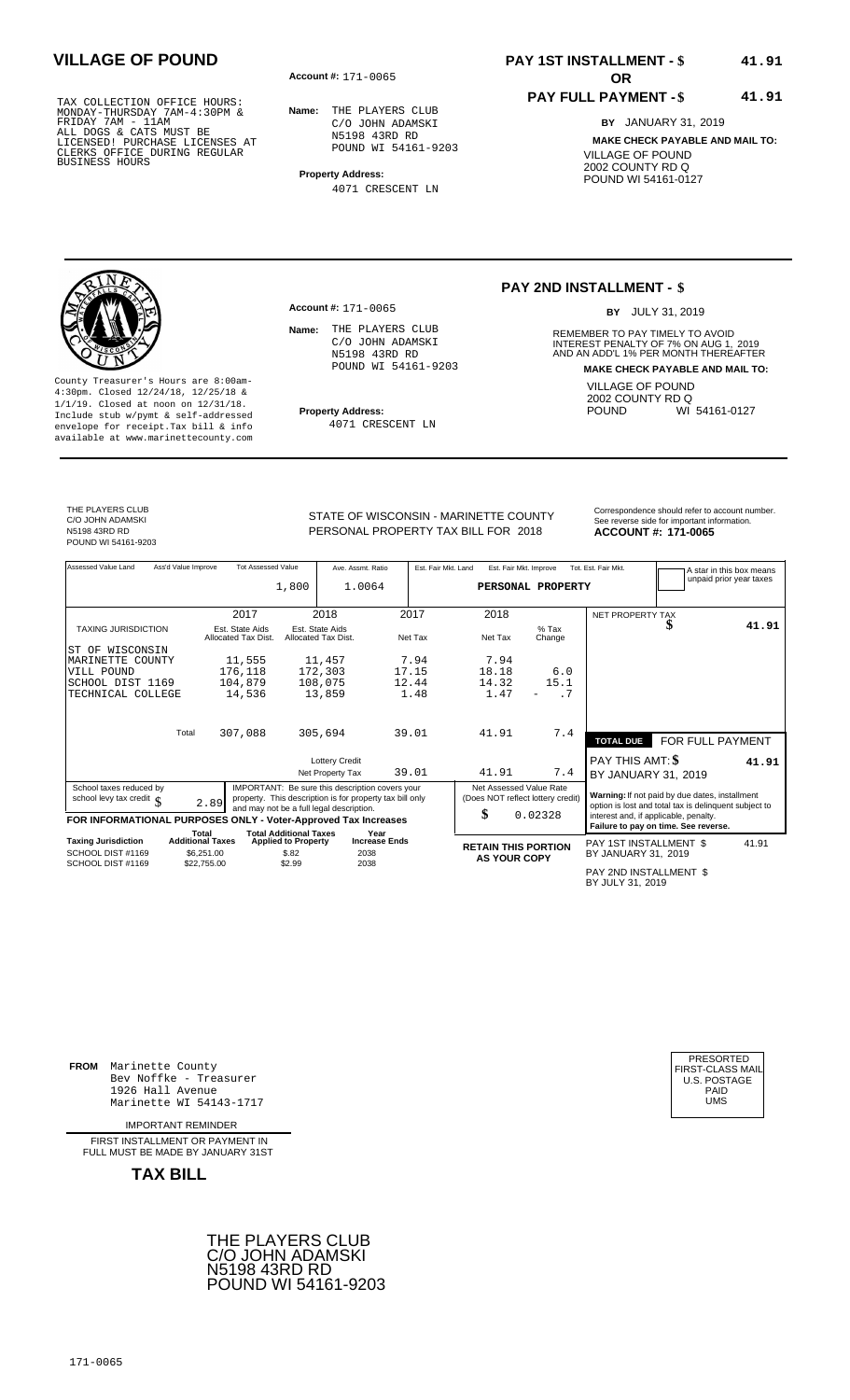**Account #: OR** 171-0065

**Name:** THE PLAYERS CLUB C/O JOHN ADAMSKI N5198 43RD RD POUND WI 54161-9203

**Property Address:** 4071 CRESCENT LN

**Account #:** 171-0065

Name: THE PLAYERS CLUB C/O JOHN ADAMSKI N5198 43RD RD POUND WI 54161-9203

# **PAY 1ST INSTALLMENT - \$ VILLAGE OF POUND 41.91**

### **PAY FULL PAYMENT - \$ 41.91**

**BY** JANUARY 31, 2019 **MAKE CHECK PAYABLE AND MAIL TO:** VILLAGE OF POUND 2002 COUNTY RD Q POUND WI 54161-0127

### **PAY 2ND INSTALLMENT - \$**

BY JULY 31, 2019

**Name:** REMEMBER TO PAY TIMELY TO AVOID INTEREST PENALTY OF 7% ON AUG 1, 2019<br>AND AN ADD'L 1% PER MONTH THEREAFTER **MAKE CHECK PAYABLE AND MAIL TO:** VILLAGE OF POUND 2002 COUNTY RD Q<br>POUND WI WI 54161-0127

County Treasurer's Hours are 8:00am-4:30pm. Closed 12/24/18, 12/25/18 & 1/1/19. Closed at noon on 12/31/18. **Property Address:** Include stub w/pymt & self-addressed envelope for receipt.Tax bill & info available at www.marinettecounty.com

4071 CRESCENT LN

THE PLAYERS CLUB C/O JOHN ADAMSKI N5198 43RD RD POUND WI 54161-9203

PERSONAL PROPERTY TAX BILL FOR 2018

STATE OF WISCONSIN - MARINETTE COUNTY<br>See reverse side for important information **ACCOUNT #: 171-0065** 

| Assessed Value Land                                            | Ass'd Value Improve | <b>Tot Assessed Value</b>              |                                                             | Ave. Assmt. Ratio                                        |         | Est. Fair Mkt. Land | Est. Fair Mkt. Improve     |                                   | Tot. Est. Fair Mkt.                        |                                                       | A star in this box means<br>unpaid prior year taxes |
|----------------------------------------------------------------|---------------------|----------------------------------------|-------------------------------------------------------------|----------------------------------------------------------|---------|---------------------|----------------------------|-----------------------------------|--------------------------------------------|-------------------------------------------------------|-----------------------------------------------------|
|                                                                |                     |                                        | 1,800                                                       | 1.0064                                                   |         |                     |                            | PERSONAL PROPERTY                 |                                            |                                                       |                                                     |
|                                                                |                     |                                        |                                                             |                                                          |         |                     |                            |                                   |                                            |                                                       |                                                     |
|                                                                |                     | 2017                                   |                                                             | 2018                                                     | 2017    |                     | 2018                       |                                   | NET PROPERTY TAX                           |                                                       |                                                     |
| <b>TAXING JURISDICTION</b>                                     |                     | Est. State Aids<br>Allocated Tax Dist. |                                                             | Est. State Aids<br>Allocated Tax Dist.                   | Net Tax |                     | Net Tax                    | $%$ Tax<br>Change                 |                                            |                                                       | 41.91                                               |
| ST OF WISCONSIN                                                |                     |                                        |                                                             |                                                          |         |                     |                            |                                   |                                            |                                                       |                                                     |
| MARINETTE COUNTY                                               |                     | 11,555                                 |                                                             | 11,457                                                   | 7.94    |                     | 7.94                       |                                   |                                            |                                                       |                                                     |
| VILL POUND                                                     |                     | 176,118                                |                                                             | 172,303                                                  | 17.15   |                     | 18.18                      | 6.0                               |                                            |                                                       |                                                     |
| SCHOOL DIST 1169                                               |                     | 104,879                                |                                                             | 108,075                                                  | 12.44   |                     | 14.32                      | 15.1                              |                                            |                                                       |                                                     |
| TECHNICAL COLLEGE                                              |                     | 14,536                                 |                                                             | 13,859                                                   | 1.48    |                     | 1.47                       | . 7                               |                                            |                                                       |                                                     |
|                                                                | Total               | 307,088                                |                                                             | 305,694                                                  | 39.01   |                     | 41.91                      | 7.4                               |                                            |                                                       |                                                     |
|                                                                |                     |                                        |                                                             |                                                          |         |                     |                            |                                   | <b>TOTAL DUE</b>                           | FOR FULL PAYMENT                                      |                                                     |
|                                                                |                     |                                        |                                                             | <b>Lottery Credit</b>                                    |         |                     |                            |                                   | PAY THIS AMT: \$                           |                                                       | 41.91                                               |
|                                                                |                     |                                        |                                                             | Net Property Tax                                         | 39.01   |                     | 41.91                      | 7.4                               | BY JANUARY 31, 2019                        |                                                       |                                                     |
| School taxes reduced by                                        |                     |                                        |                                                             | IMPORTANT: Be sure this description covers your          |         |                     | Net Assessed Value Rate    |                                   |                                            | Warning: If not paid by due dates, installment        |                                                     |
| school levy tax credit $\int$                                  |                     | 2.89                                   |                                                             | property. This description is for property tax bill only |         |                     |                            | (Does NOT reflect lottery credit) |                                            | option is lost and total tax is delinquent subject to |                                                     |
| FOR INFORMATIONAL PURPOSES ONLY - Voter-Approved Tax Increases |                     |                                        |                                                             | and may not be a full legal description.                 |         |                     | \$                         | 0.02328                           | interest and, if applicable, penalty.      | Failure to pay on time. See reverse.                  |                                                     |
| <b>Taxing Jurisdiction</b>                                     |                     | Total<br><b>Additional Taxes</b>       | <b>Total Additional Taxes</b><br><b>Applied to Property</b> | Year<br><b>Increase Ends</b>                             |         |                     |                            |                                   |                                            |                                                       |                                                     |
| SCHOOL DIST #1169                                              |                     | \$6,251.00                             | \$.82                                                       | 2038                                                     |         |                     | <b>RETAIN THIS PORTION</b> |                                   | PAY 1ST INSTALLMENT \$                     |                                                       | 41.91                                               |
| SCHOOL DIST #1169                                              |                     | \$22,755.00                            | \$2.99                                                      | 2038                                                     |         |                     | <b>AS YOUR COPY</b>        |                                   | BY JANUARY 31, 2019                        |                                                       |                                                     |
|                                                                |                     |                                        |                                                             |                                                          |         |                     |                            |                                   | PAY 2ND INSTALLMENT \$<br>BY JULY 31, 2019 |                                                       |                                                     |

**FROM** Marinette County Bev Noffke - Treasurer 1926 Hall Avenue PAID Marinette WI 54143-1717 UMS

IMPORTANT REMINDER

FIRST INSTALL MENT OR PAYMENT IN FULL MUST BE MADE BY JANUARY 31ST



| PRESORTED<br>FIRST-CLASS MAIL<br><b>U.S. POSTAGE</b><br>PAID<br>UMS |
|---------------------------------------------------------------------|
|---------------------------------------------------------------------|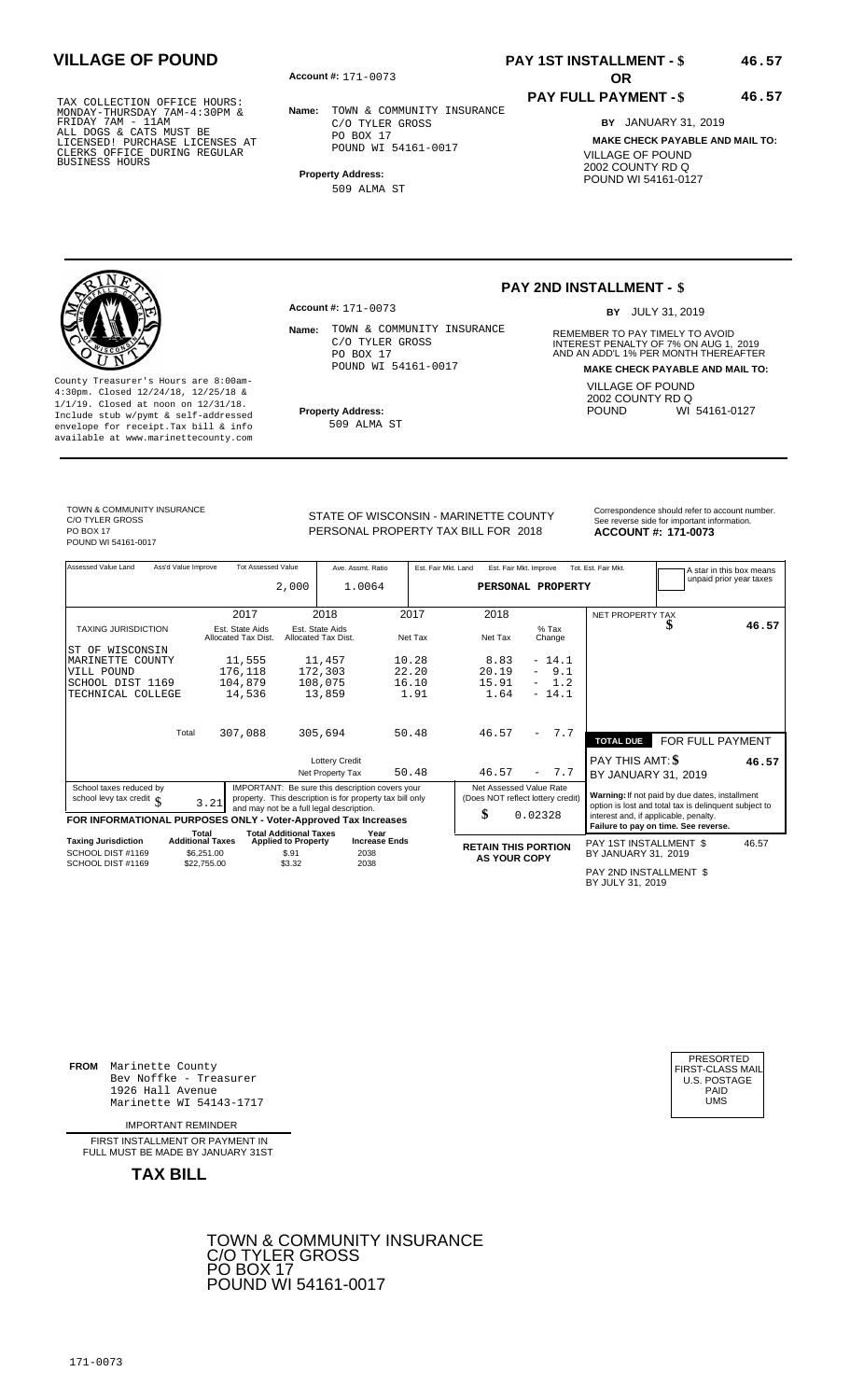**Account #: OR** 171-0073

**Name:** TOWN & COMMUNITY INSURANCE C/O TYLER GROSS PO BOX 17 POUND WI 54161-0017

**Property Address:** 509 ALMA ST

## **PAY 1ST INSTALLMENT - \$ VILLAGE OF POUND 46.57**

### **PAY FULL PAYMENT - \$**

**46.57**

**BY** JANUARY 31, 2019 **MAKE CHECK PAYABLE AND MAIL TO:** VILLAGE OF POUND 2002 COUNTY RD Q POUND WI 54161-0127

County Treasurer's Hours are 8:00am-4:30pm. Closed 12/24/18, 12/25/18 & 1/1/19. Closed at noon on 12/31/18. **Property Address:** Include stub w/pymt & self-addressed envelope for receipt.Tax bill & info available at www.marinettecounty.com

**Account #:** 171-0073

Name: TOWN & COMMUNITY INSURANCE<br>REMEMBER TO PAY TIMELY TO AVOID C/O TYLER GROSS PO BOX 17 POUND WI 54161-0017

509 ALMA ST

### **PAY 2ND INSTALLMENT - \$**

BY JULY 31, 2019

INTEREST PENALTY OF 7% ON AUG 1, 2019<br>AND AN ADD'L 1% PER MONTH THEREAFTER **MAKE CHECK PAYABLE AND MAIL TO:** VILLAGE OF POUND 2002 COUNTY RD Q<br>POUND WI WI 54161-0127

TOWN & COMMUNITY INSURANCE C/O TYLER GROSS PO BOX 17 POUND WI 54161-0017

PERSONAL PROPERTY TAX BILL FOR 2018

STATE OF WISCONSIN - MARINETTE COUNTY<br>See reverse side for important information **ACCOUNT #: 171-0073** 

| Assessed Value Land                                            | Ass'd Value Improve                   | <b>Tot Assessed Value</b>              | 2,000                               | Ave. Assmt. Ratio<br>1.0064                                                                                                                             |                      | Est. Fair Mkt. Land | Est. Fair Mkt. Improve<br>PERSONAL PROPERTY                  |                   |     | Tot. Est. Fair Mkt.                                                                                     | A star in this box means<br>unpaid prior year taxes |       |
|----------------------------------------------------------------|---------------------------------------|----------------------------------------|-------------------------------------|---------------------------------------------------------------------------------------------------------------------------------------------------------|----------------------|---------------------|--------------------------------------------------------------|-------------------|-----|---------------------------------------------------------------------------------------------------------|-----------------------------------------------------|-------|
|                                                                |                                       | 2017                                   |                                     | 2018                                                                                                                                                    |                      | 2017                | 2018                                                         |                   |     | NET PROPERTY TAX                                                                                        |                                                     |       |
| <b>TAXING JURISDICTION</b>                                     |                                       | Est. State Aids<br>Allocated Tax Dist. |                                     | Est. State Aids<br>Allocated Tax Dist.                                                                                                                  |                      | Net Tax             | Net Tax                                                      | $%$ Tax<br>Change |     |                                                                                                         |                                                     | 46.57 |
| WISCONSIN<br>ST OF                                             |                                       |                                        |                                     |                                                                                                                                                         |                      |                     |                                                              |                   |     |                                                                                                         |                                                     |       |
| MARINETTE COUNTY                                               |                                       | 11,555                                 |                                     | 11,457                                                                                                                                                  |                      | 10.28               | 8.83                                                         | $-14.1$           |     |                                                                                                         |                                                     |       |
| VILL POUND                                                     |                                       | 176,118                                |                                     | 172,303                                                                                                                                                 |                      | 22.20               | 20.19                                                        |                   | 9.1 |                                                                                                         |                                                     |       |
| SCHOOL DIST 1169                                               |                                       | 104,879                                |                                     | 108,075                                                                                                                                                 |                      | 16.10               | 15.91                                                        | $-1.2$            |     |                                                                                                         |                                                     |       |
| TECHNICAL COLLEGE                                              |                                       | 14,536                                 |                                     | 13,859                                                                                                                                                  |                      | 1.91                | 1.64                                                         | $-14.1$           |     |                                                                                                         |                                                     |       |
|                                                                | Total                                 | 307,088                                |                                     | 305,694                                                                                                                                                 |                      | 50.48               | 46.57                                                        |                   | 7.7 | <b>TOTAL DUE</b>                                                                                        | FOR FULL PAYMENT                                    |       |
|                                                                |                                       |                                        |                                     | <b>Lottery Credit</b>                                                                                                                                   |                      |                     |                                                              |                   |     | PAY THIS AMT: \$                                                                                        |                                                     | 46.57 |
|                                                                |                                       |                                        |                                     | Net Property Tax                                                                                                                                        |                      | 50.48               | 46.57                                                        | $\sim$            | 7.7 | BY JANUARY 31, 2019                                                                                     |                                                     |       |
| School taxes reduced by<br>school levy tax credit $\int$       | 3.21                                  |                                        |                                     | IMPORTANT: Be sure this description covers your<br>property. This description is for property tax bill only<br>and may not be a full legal description. |                      |                     | Net Assessed Value Rate<br>(Does NOT reflect lottery credit) |                   |     | Warning: If not paid by due dates, installment<br>option is lost and total tax is delinquent subject to |                                                     |       |
| FOR INFORMATIONAL PURPOSES ONLY - Voter-Approved Tax Increases | Total                                 |                                        | <b>Total Additional Taxes</b>       |                                                                                                                                                         | Year                 |                     | \$                                                           | 0.02328           |     | interest and, if applicable, penalty.<br>Failure to pay on time. See reverse.                           |                                                     |       |
| <b>Taxing Jurisdiction</b><br>SCHOOL DIST #1169                | <b>Additional Taxes</b><br>\$6,251,00 |                                        | <b>Applied to Property</b><br>\$.91 | 2038                                                                                                                                                    | <b>Increase Ends</b> |                     | <b>RETAIN THIS PORTION</b><br><b>AS YOUR COPY</b>            |                   |     | PAY 1ST INSTALLMENT \$<br>BY JANUARY 31, 2019                                                           |                                                     | 46.57 |
| SCHOOL DIST #1169                                              | \$22,755.00                           |                                        | \$3.32                              | 2038                                                                                                                                                    |                      |                     |                                                              |                   |     | DAV OND INCTALLMENT C                                                                                   |                                                     |       |

PAY 2ND INSTALLMENT \$ BY JULY 31, 2019

**FROM** Marinette County Bev Noffke - Treasurer (U.S. POSTAGE)<br>1926 Hall Avenue (U.S. POSTAGE)<br>Marinette WI 54143-1717 (U.S. POSTAGE) 1926 Hall Avenue PAID Marinette WI 54143-1717 UMS

IMPORTANT REMINDER

FIRST INSTALL MENT OR PAYMENT IN FULL MUST BE MADE BY JANUARY 31ST